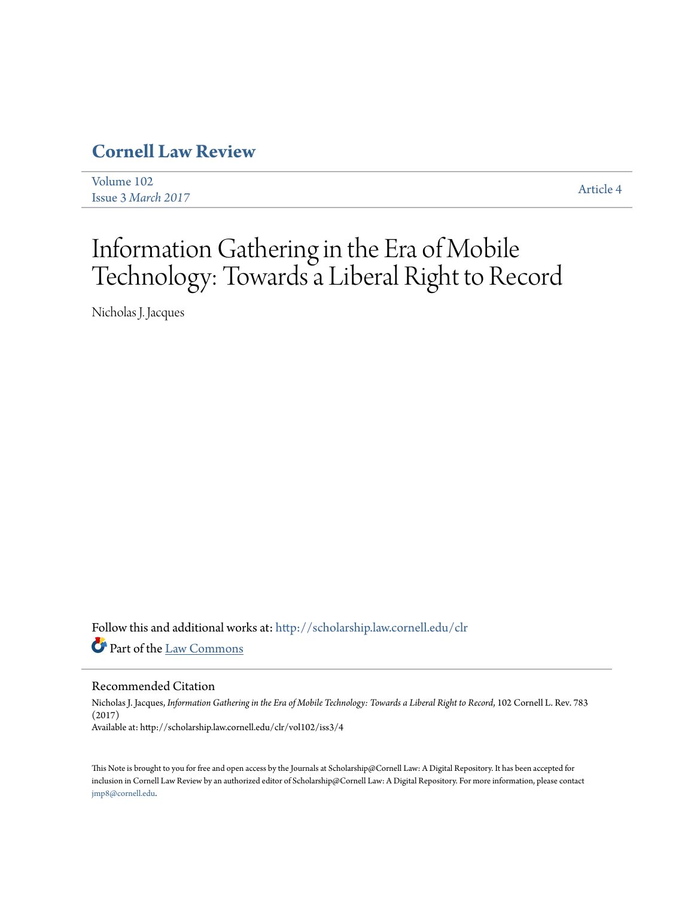# **[Cornell Law Review](http://scholarship.law.cornell.edu/clr?utm_source=scholarship.law.cornell.edu%2Fclr%2Fvol102%2Fiss3%2F4&utm_medium=PDF&utm_campaign=PDFCoverPages)**

[Volume 102](http://scholarship.law.cornell.edu/clr/vol102?utm_source=scholarship.law.cornell.edu%2Fclr%2Fvol102%2Fiss3%2F4&utm_medium=PDF&utm_campaign=PDFCoverPages) Issue 3 *[March 2017](http://scholarship.law.cornell.edu/clr/vol102/iss3?utm_source=scholarship.law.cornell.edu%2Fclr%2Fvol102%2Fiss3%2F4&utm_medium=PDF&utm_campaign=PDFCoverPages)* [Article 4](http://scholarship.law.cornell.edu/clr/vol102/iss3/4?utm_source=scholarship.law.cornell.edu%2Fclr%2Fvol102%2Fiss3%2F4&utm_medium=PDF&utm_campaign=PDFCoverPages)

# Information Gathering in the Era of Mobile Technology: Towards a Liberal Right to Record

Nicholas J. Jacques

Follow this and additional works at: [http://scholarship.law.cornell.edu/clr](http://scholarship.law.cornell.edu/clr?utm_source=scholarship.law.cornell.edu%2Fclr%2Fvol102%2Fiss3%2F4&utm_medium=PDF&utm_campaign=PDFCoverPages) Part of the [Law Commons](http://network.bepress.com/hgg/discipline/578?utm_source=scholarship.law.cornell.edu%2Fclr%2Fvol102%2Fiss3%2F4&utm_medium=PDF&utm_campaign=PDFCoverPages)

#### Recommended Citation

Nicholas J. Jacques, *Information Gathering in the Era of Mobile Technology: Towards a Liberal Right to Record*, 102 Cornell L. Rev. 783 (2017) Available at: http://scholarship.law.cornell.edu/clr/vol102/iss3/4

This Note is brought to you for free and open access by the Journals at Scholarship@Cornell Law: A Digital Repository. It has been accepted for inclusion in Cornell Law Review by an authorized editor of Scholarship@Cornell Law: A Digital Repository. For more information, please contact [jmp8@cornell.edu.](mailto:jmp8@cornell.edu)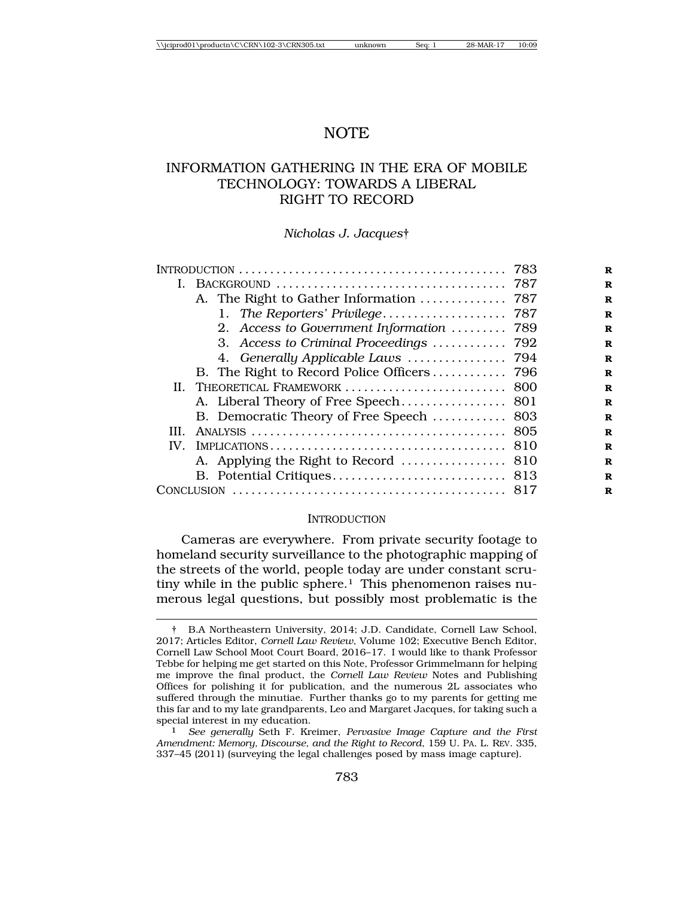# NOTE

# INFORMATION GATHERING IN THE ERA OF MOBILE TECHNOLOGY: TOWARDS A LIBERAL RIGHT TO RECORD

#### *Nicholas J. Jacques*†

| INTRODUCTION $\ldots \ldots \ldots \ldots \ldots \ldots \ldots \ldots \ldots \ldots \ldots \ldots$ 783 |  |
|--------------------------------------------------------------------------------------------------------|--|
|                                                                                                        |  |
|                                                                                                        |  |
|                                                                                                        |  |
| 2. Access to Government Information<br>789                                                             |  |
| 3. Access to Criminal Proceedings  792                                                                 |  |
|                                                                                                        |  |
| B. The Right to Record Police Officers 796                                                             |  |
| II. THEORETICAL FRAMEWORK<br>800                                                                       |  |
|                                                                                                        |  |
| B. Democratic Theory of Free Speech  803                                                               |  |
| 805<br>III.                                                                                            |  |
| IV.<br>810                                                                                             |  |
|                                                                                                        |  |
|                                                                                                        |  |
| <b>CONCLUSION</b>                                                                                      |  |

#### **INTRODUCTION**

Cameras are everywhere. From private security footage to homeland security surveillance to the photographic mapping of the streets of the world, people today are under constant scrutiny while in the public sphere.<sup>1</sup> This phenomenon raises numerous legal questions, but possibly most problematic is the

<sup>†</sup> B.A Northeastern University, 2014; J.D. Candidate, Cornell Law School, 2017; Articles Editor, *Cornell Law Review*, Volume 102; Executive Bench Editor, Cornell Law School Moot Court Board, 2016–17. I would like to thank Professor Tebbe for helping me get started on this Note, Professor Grimmelmann for helping me improve the final product, the *Cornell Law Review* Notes and Publishing Offices for polishing it for publication, and the numerous 2L associates who suffered through the minutiae. Further thanks go to my parents for getting me this far and to my late grandparents, Leo and Margaret Jacques, for taking such a special interest in my education. <sup>1</sup> *See generally* Seth F. Kreimer, *Pervasive Image Capture and the First*

*Amendment: Memory, Discourse, and the Right to Record*, 159 U. PA. L. REV. 335, 337–45 (2011) (surveying the legal challenges posed by mass image capture).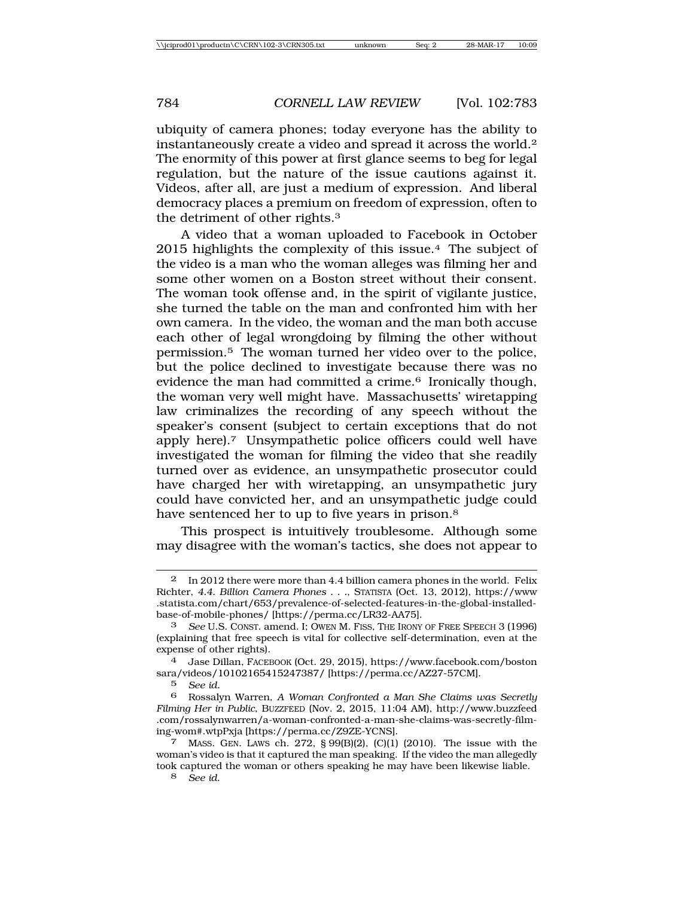ubiquity of camera phones; today everyone has the ability to instantaneously create a video and spread it across the world.2 The enormity of this power at first glance seems to beg for legal regulation, but the nature of the issue cautions against it. Videos, after all, are just a medium of expression. And liberal democracy places a premium on freedom of expression, often to the detriment of other rights.3

A video that a woman uploaded to Facebook in October 2015 highlights the complexity of this issue.4 The subject of the video is a man who the woman alleges was filming her and some other women on a Boston street without their consent. The woman took offense and, in the spirit of vigilante justice, she turned the table on the man and confronted him with her own camera. In the video, the woman and the man both accuse each other of legal wrongdoing by filming the other without permission.5 The woman turned her video over to the police, but the police declined to investigate because there was no evidence the man had committed a crime.<sup>6</sup> Ironically though, the woman very well might have. Massachusetts' wiretapping law criminalizes the recording of any speech without the speaker's consent (subject to certain exceptions that do not apply here).7 Unsympathetic police officers could well have investigated the woman for filming the video that she readily turned over as evidence, an unsympathetic prosecutor could have charged her with wiretapping, an unsympathetic jury could have convicted her, and an unsympathetic judge could have sentenced her to up to five years in prison.8

This prospect is intuitively troublesome. Although some may disagree with the woman's tactics, she does not appear to

4 Jase Dillan, FACEBOOK (Oct. 29, 2015), https://www.facebook.com/boston sara/videos/10102165415247387/ [https://perma.cc/AZ27-57CM].

5 *See id.*

8 *See id.*

<sup>2</sup> In 2012 there were more than 4.4 billion camera phones in the world. Felix Richter, *4.4. Billion Camera Phones . . .*, STATISTA (Oct. 13, 2012), https://www .statista.com/chart/653/prevalence-of-selected-features-in-the-global-installedbase-of-mobile-phones/ [https://perma.cc/LR32-AA75].

<sup>3</sup> *See* U.S. CONST. amend. I; OWEN M. FISS, THE IRONY OF FREE SPEECH 3 (1996) (explaining that free speech is vital for collective self-determination, even at the expense of other rights).

<sup>6</sup> Rossalyn Warren, *A Woman Confronted a Man She Claims was Secretly Filming Her in Public*, BUZZFEED (Nov. 2, 2015, 11:04 AM), http://www.buzzfeed .com/rossalynwarren/a-woman-confronted-a-man-she-claims-was-secretly-filming-wom#.wtpPxja [https://perma.cc/Z9ZE-YCNS].

<sup>7</sup> MASS. GEN. LAWS ch. 272, § 99(B)(2), (C)(1) (2010). The issue with the woman's video is that it captured the man speaking. If the video the man allegedly took captured the woman or others speaking he may have been likewise liable.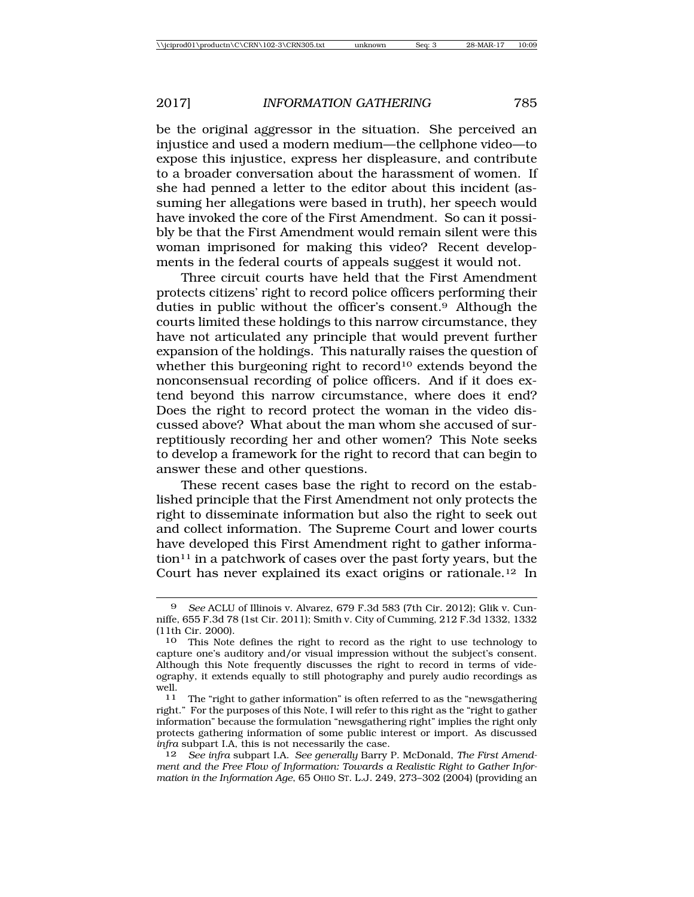be the original aggressor in the situation. She perceived an injustice and used a modern medium—the cellphone video—to expose this injustice, express her displeasure, and contribute to a broader conversation about the harassment of women. If she had penned a letter to the editor about this incident (assuming her allegations were based in truth), her speech would have invoked the core of the First Amendment. So can it possibly be that the First Amendment would remain silent were this woman imprisoned for making this video? Recent developments in the federal courts of appeals suggest it would not.

Three circuit courts have held that the First Amendment protects citizens' right to record police officers performing their duties in public without the officer's consent.9 Although the courts limited these holdings to this narrow circumstance, they have not articulated any principle that would prevent further expansion of the holdings. This naturally raises the question of whether this burgeoning right to record<sup>10</sup> extends beyond the nonconsensual recording of police officers. And if it does extend beyond this narrow circumstance, where does it end? Does the right to record protect the woman in the video discussed above? What about the man whom she accused of surreptitiously recording her and other women? This Note seeks to develop a framework for the right to record that can begin to answer these and other questions.

These recent cases base the right to record on the established principle that the First Amendment not only protects the right to disseminate information but also the right to seek out and collect information. The Supreme Court and lower courts have developed this First Amendment right to gather informa- $\chi$  tion<sup>11</sup> in a patchwork of cases over the past forty years, but the Court has never explained its exact origins or rationale.12 In

<sup>9</sup> *See* ACLU of Illinois v. Alvarez, 679 F.3d 583 (7th Cir. 2012); Glik v. Cunniffe, 655 F.3d 78 (1st Cir. 2011); Smith v. City of Cumming, 212 F.3d 1332, 1332 (11th Cir. 2000).

<sup>10</sup> This Note defines the right to record as the right to use technology to capture one's auditory and/or visual impression without the subject's consent. Although this Note frequently discusses the right to record in terms of videography, it extends equally to still photography and purely audio recordings as well.

<sup>11</sup> The "right to gather information" is often referred to as the "newsgathering right." For the purposes of this Note, I will refer to this right as the "right to gather information" because the formulation "newsgathering right" implies the right only protects gathering information of some public interest or import. As discussed *infra* subpart I.A, this is not necessarily the case.

<sup>12</sup> *See infra* subpart I.A. *See generally* Barry P. McDonald, *The First Amendment and the Free Flow of Information: Towards a Realistic Right to Gather Information in the Information Age*, 65 OHIO ST. L.J. 249, 273–302 (2004) (providing an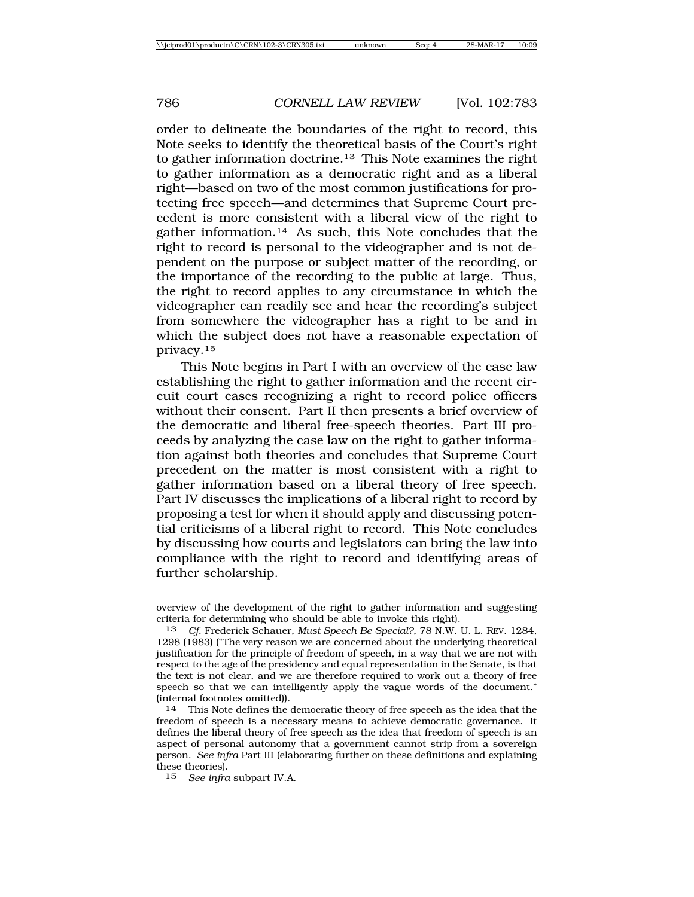order to delineate the boundaries of the right to record, this Note seeks to identify the theoretical basis of the Court's right to gather information doctrine.13 This Note examines the right to gather information as a democratic right and as a liberal right—based on two of the most common justifications for protecting free speech—and determines that Supreme Court precedent is more consistent with a liberal view of the right to gather information.14 As such, this Note concludes that the right to record is personal to the videographer and is not dependent on the purpose or subject matter of the recording, or the importance of the recording to the public at large. Thus, the right to record applies to any circumstance in which the videographer can readily see and hear the recording's subject from somewhere the videographer has a right to be and in which the subject does not have a reasonable expectation of privacy.15

This Note begins in Part I with an overview of the case law establishing the right to gather information and the recent circuit court cases recognizing a right to record police officers without their consent. Part II then presents a brief overview of the democratic and liberal free-speech theories. Part III proceeds by analyzing the case law on the right to gather information against both theories and concludes that Supreme Court precedent on the matter is most consistent with a right to gather information based on a liberal theory of free speech. Part IV discusses the implications of a liberal right to record by proposing a test for when it should apply and discussing potential criticisms of a liberal right to record. This Note concludes by discussing how courts and legislators can bring the law into compliance with the right to record and identifying areas of further scholarship.

overview of the development of the right to gather information and suggesting criteria for determining who should be able to invoke this right).

<sup>13</sup> *Cf.* Frederick Schauer, *Must Speech Be Special?*, 78 N.W. U. L. REV. 1284, 1298 (1983) ("The very reason we are concerned about the underlying theoretical justification for the principle of freedom of speech, in a way that we are not with respect to the age of the presidency and equal representation in the Senate, is that the text is not clear, and we are therefore required to work out a theory of free speech so that we can intelligently apply the vague words of the document." (internal footnotes omitted)).

<sup>14</sup> This Note defines the democratic theory of free speech as the idea that the freedom of speech is a necessary means to achieve democratic governance. It defines the liberal theory of free speech as the idea that freedom of speech is an aspect of personal autonomy that a government cannot strip from a sovereign person. *See infra* Part III (elaborating further on these definitions and explaining these theories).

<sup>15</sup> *See infra* subpart IV.A.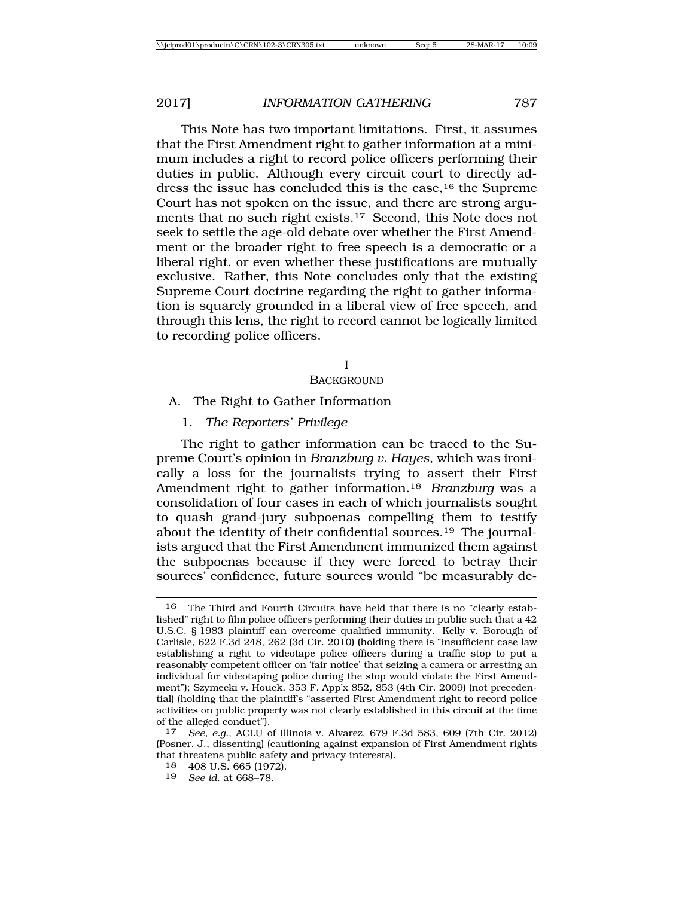This Note has two important limitations. First, it assumes that the First Amendment right to gather information at a minimum includes a right to record police officers performing their duties in public. Although every circuit court to directly address the issue has concluded this is the case,16 the Supreme Court has not spoken on the issue, and there are strong arguments that no such right exists.17 Second, this Note does not seek to settle the age-old debate over whether the First Amendment or the broader right to free speech is a democratic or a liberal right, or even whether these justifications are mutually exclusive. Rather, this Note concludes only that the existing Supreme Court doctrine regarding the right to gather information is squarely grounded in a liberal view of free speech, and through this lens, the right to record cannot be logically limited to recording police officers.

#### I

#### **BACKGROUND**

## A. The Right to Gather Information

1. *The Reporters' Privilege*

The right to gather information can be traced to the Supreme Court's opinion in *Branzburg v. Hayes*, which was ironically a loss for the journalists trying to assert their First Amendment right to gather information.18 *Branzburg* was a consolidation of four cases in each of which journalists sought to quash grand-jury subpoenas compelling them to testify about the identity of their confidential sources.19 The journalists argued that the First Amendment immunized them against the subpoenas because if they were forced to betray their sources' confidence, future sources would "be measurably de-

19 *See id.* at 668–78.

<sup>16</sup> The Third and Fourth Circuits have held that there is no "clearly established" right to film police officers performing their duties in public such that a 42 U.S.C. § 1983 plaintiff can overcome qualified immunity. Kelly v. Borough of Carlisle, 622 F.3d 248, 262 (3d Cir. 2010) (holding there is "insufficient case law establishing a right to videotape police officers during a traffic stop to put a reasonably competent officer on 'fair notice' that seizing a camera or arresting an individual for videotaping police during the stop would violate the First Amendment"); Szymecki v. Houck, 353 F. App'x 852, 853 (4th Cir. 2009) (not precedential) (holding that the plaintiff's "asserted First Amendment right to record police activities on public property was not clearly established in this circuit at the time of the alleged conduct").

<sup>17</sup> *See, e.g.*, ACLU of Illinois v. Alvarez, 679 F.3d 583, 609 (7th Cir. 2012) (Posner, J., dissenting) (cautioning against expansion of First Amendment rights that threatens public safety and privacy interests).

<sup>18</sup> 408 U.S. 665 (1972).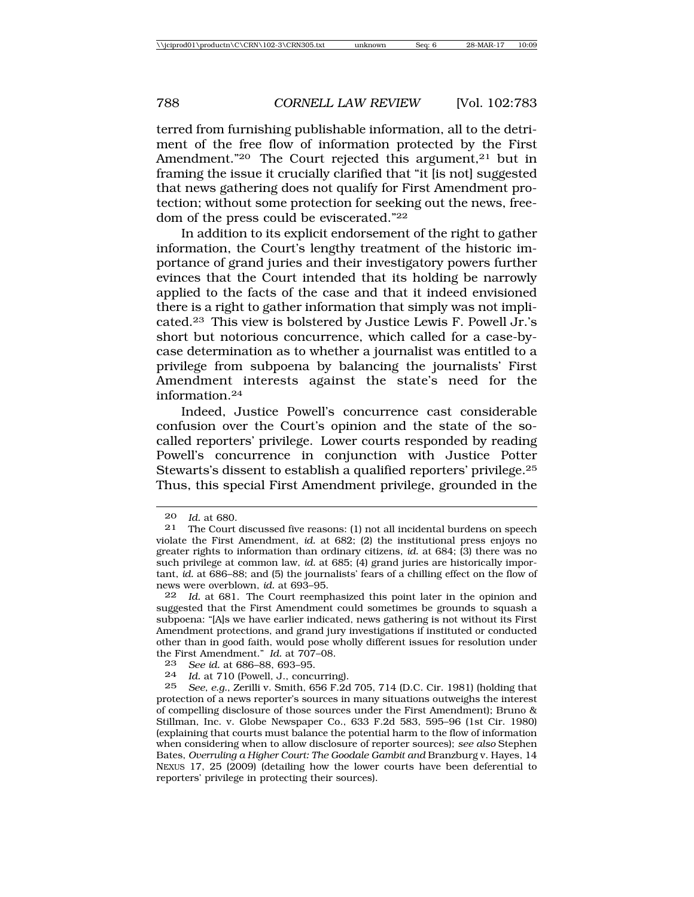terred from furnishing publishable information, all to the detriment of the free flow of information protected by the First Amendment."<sup>20</sup> The Court rejected this argument,<sup>21</sup> but in framing the issue it crucially clarified that "it [is not] suggested that news gathering does not qualify for First Amendment protection; without some protection for seeking out the news, freedom of the press could be eviscerated."22

In addition to its explicit endorsement of the right to gather information, the Court's lengthy treatment of the historic importance of grand juries and their investigatory powers further evinces that the Court intended that its holding be narrowly applied to the facts of the case and that it indeed envisioned there is a right to gather information that simply was not implicated.23 This view is bolstered by Justice Lewis F. Powell Jr.'s short but notorious concurrence, which called for a case-bycase determination as to whether a journalist was entitled to a privilege from subpoena by balancing the journalists' First Amendment interests against the state's need for the information.24

Indeed, Justice Powell's concurrence cast considerable confusion over the Court's opinion and the state of the socalled reporters' privilege. Lower courts responded by reading Powell's concurrence in conjunction with Justice Potter Stewarts's dissent to establish a qualified reporters' privilege.25 Thus, this special First Amendment privilege, grounded in the

25 *See, e.g.*, Zerilli v. Smith, 656 F.2d 705, 714 (D.C. Cir. 1981) (holding that protection of a news reporter's sources in many situations outweighs the interest of compelling disclosure of those sources under the First Amendment); Bruno & Stillman, Inc. v. Globe Newspaper Co., 633 F.2d 583, 595–96 (1st Cir. 1980) (explaining that courts must balance the potential harm to the flow of information when considering when to allow disclosure of reporter sources); *see also* Stephen Bates, *Overruling a Higher Court: The Goodale Gambit and* Branzburg v. Hayes, 14 NEXUS 17, 25 (2009) (detailing how the lower courts have been deferential to reporters' privilege in protecting their sources).

<sup>20</sup> *Id.* at 680.

The Court discussed five reasons: (1) not all incidental burdens on speech violate the First Amendment, *id.* at 682; (2) the institutional press enjoys no greater rights to information than ordinary citizens, *id.* at 684; (3) there was no such privilege at common law, *id.* at 685; (4) grand juries are historically important, *id.* at 686–88; and (5) the journalists' fears of a chilling effect on the flow of news were overblown, *id.* at 693–95.

<sup>22</sup> *Id.* at 681. The Court reemphasized this point later in the opinion and suggested that the First Amendment could sometimes be grounds to squash a subpoena: "[A]s we have earlier indicated, news gathering is not without its First Amendment protections, and grand jury investigations if instituted or conducted other than in good faith, would pose wholly different issues for resolution under the First Amendment." *Id.* at 707–08.

<sup>23</sup> *See id.* at 686–88, 693–95.

<sup>24</sup> *Id.* at 710 (Powell, J., concurring).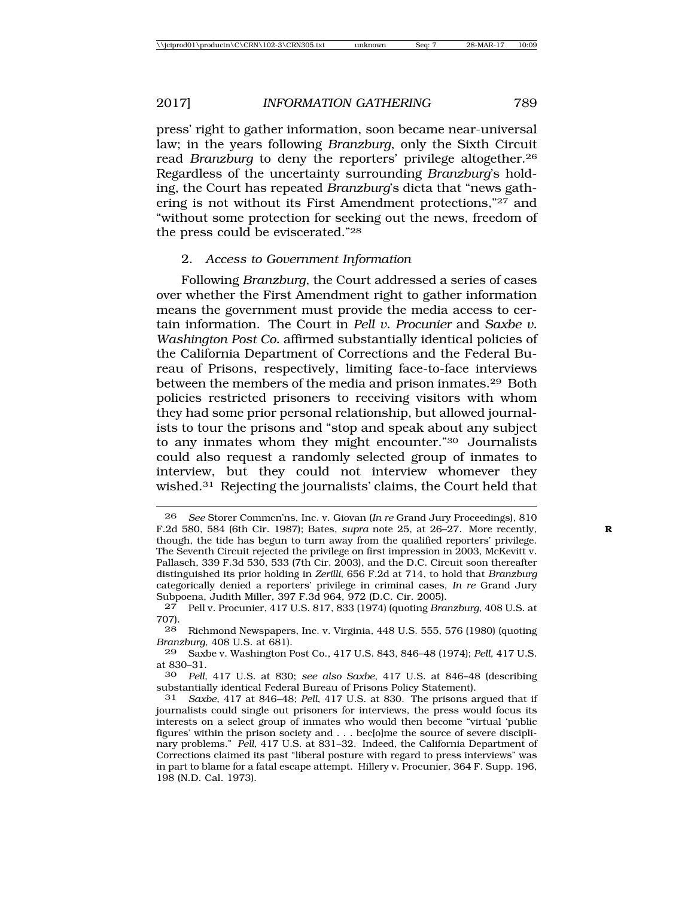press' right to gather information, soon became near-universal law; in the years following *Branzburg*, only the Sixth Circuit read *Branzburg* to deny the reporters' privilege altogether.26 Regardless of the uncertainty surrounding *Branzburg*'s holding, the Court has repeated *Branzburg*'s dicta that "news gathering is not without its First Amendment protections,"27 and "without some protection for seeking out the news, freedom of the press could be eviscerated."28

# 2. *Access to Government Information*

Following *Branzburg*, the Court addressed a series of cases over whether the First Amendment right to gather information means the government must provide the media access to certain information. The Court in *Pell v. Procunier* and *Saxbe v. Washington Post Co.* affirmed substantially identical policies of the California Department of Corrections and the Federal Bureau of Prisons, respectively, limiting face-to-face interviews between the members of the media and prison inmates.29 Both policies restricted prisoners to receiving visitors with whom they had some prior personal relationship, but allowed journalists to tour the prisons and "stop and speak about any subject to any inmates whom they might encounter."30 Journalists could also request a randomly selected group of inmates to interview, but they could not interview whomever they wished.31 Rejecting the journalists' claims, the Court held that

<sup>26</sup> *See* Storer Commcn'ns, Inc. v. Giovan (*In re* Grand Jury Proceedings), 810 F.2d 580, 584 (6th Cir. 1987); Bates, *supra* note 25, at 26–27. More recently, **R** though, the tide has begun to turn away from the qualified reporters' privilege. The Seventh Circuit rejected the privilege on first impression in 2003, McKevitt v. Pallasch, 339 F.3d 530, 533 (7th Cir. 2003), and the D.C. Circuit soon thereafter distinguished its prior holding in *Zerilli*, 656 F.2d at 714, to hold that *Branzburg* categorically denied a reporters' privilege in criminal cases, *In re* Grand Jury Subpoena, Judith Miller, 397 F.3d 964, 972 (D.C. Cir. 2005).

<sup>27</sup> Pell v. Procunier, 417 U.S. 817, 833 (1974) (quoting *Branzburg*, 408 U.S. at 707).

<sup>28</sup> Richmond Newspapers, Inc. v. Virginia, 448 U.S. 555, 576 (1980) (quoting *Branzburg*, 408 U.S. at 681).

<sup>29</sup> Saxbe v. Washington Post Co., 417 U.S. 843, 846–48 (1974); *Pell*, 417 U.S. at 830–31.<br>30 *Pell* 

<sup>30</sup> *Pell*, 417 U.S. at 830; *see also Saxbe*, 417 U.S. at 846–48 (describing substantially identical Federal Bureau of Prisons Policy Statement).

<sup>31</sup> *Saxbe*, 417 at 846–48; *Pell*, 417 U.S. at 830. The prisons argued that if journalists could single out prisoners for interviews, the press would focus its interests on a select group of inmates who would then become "virtual 'public figures' within the prison society and . . . bec[o]me the source of severe disciplinary problems." *Pell*, 417 U.S. at 831–32. Indeed, the California Department of Corrections claimed its past "liberal posture with regard to press interviews" was in part to blame for a fatal escape attempt. Hillery v. Procunier, 364 F. Supp. 196, 198 (N.D. Cal. 1973).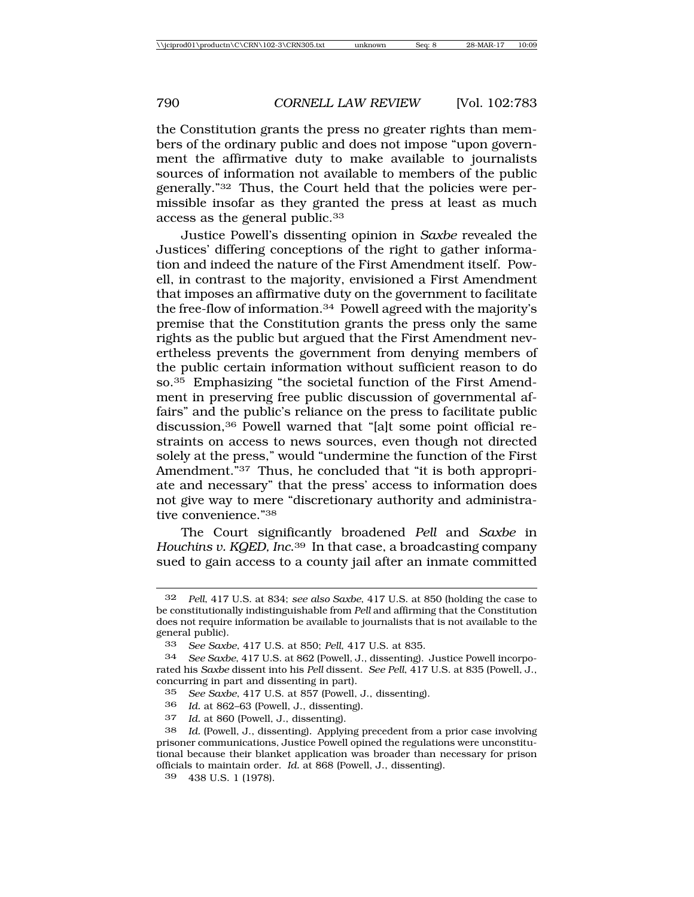the Constitution grants the press no greater rights than members of the ordinary public and does not impose "upon government the affirmative duty to make available to journalists sources of information not available to members of the public generally."32 Thus, the Court held that the policies were permissible insofar as they granted the press at least as much access as the general public.33

Justice Powell's dissenting opinion in *Saxbe* revealed the Justices' differing conceptions of the right to gather information and indeed the nature of the First Amendment itself. Powell, in contrast to the majority, envisioned a First Amendment that imposes an affirmative duty on the government to facilitate the free-flow of information.34 Powell agreed with the majority's premise that the Constitution grants the press only the same rights as the public but argued that the First Amendment nevertheless prevents the government from denying members of the public certain information without sufficient reason to do so.35 Emphasizing "the societal function of the First Amendment in preserving free public discussion of governmental affairs" and the public's reliance on the press to facilitate public discussion,36 Powell warned that "[a]t some point official restraints on access to news sources, even though not directed solely at the press," would "undermine the function of the First Amendment."<sup>37</sup> Thus, he concluded that "it is both appropriate and necessary" that the press' access to information does not give way to mere "discretionary authority and administrative convenience."38

The Court significantly broadened *Pell* and *Saxbe* in *Houchins v. KQED, Inc*.39 In that case, a broadcasting company sued to gain access to a county jail after an inmate committed

<sup>32</sup> *Pell*, 417 U.S. at 834; *see also Saxbe*, 417 U.S. at 850 (holding the case to be constitutionally indistinguishable from *Pell* and affirming that the Constitution does not require information be available to journalists that is not available to the general public).

<sup>33</sup> *See Saxbe*, 417 U.S. at 850; *Pell*, 417 U.S. at 835.

<sup>34</sup> *See Saxbe*, 417 U.S. at 862 (Powell, J., dissenting). Justice Powell incorporated his *Saxbe* dissent into his *Pell* dissent. *See Pell*, 417 U.S. at 835 (Powell, J., concurring in part and dissenting in part).

<sup>35</sup> *See Saxbe*, 417 U.S. at 857 (Powell, J., dissenting).

<sup>36</sup> *Id.* at 862–63 (Powell, J., dissenting).

<sup>37</sup> *Id.* at 860 (Powell, J., dissenting).

<sup>38</sup> *Id.* (Powell, J., dissenting)*.* Applying precedent from a prior case involving prisoner communications, Justice Powell opined the regulations were unconstitutional because their blanket application was broader than necessary for prison officials to maintain order. *Id.* at 868 (Powell, J., dissenting).

<sup>39</sup> 438 U.S. 1 (1978).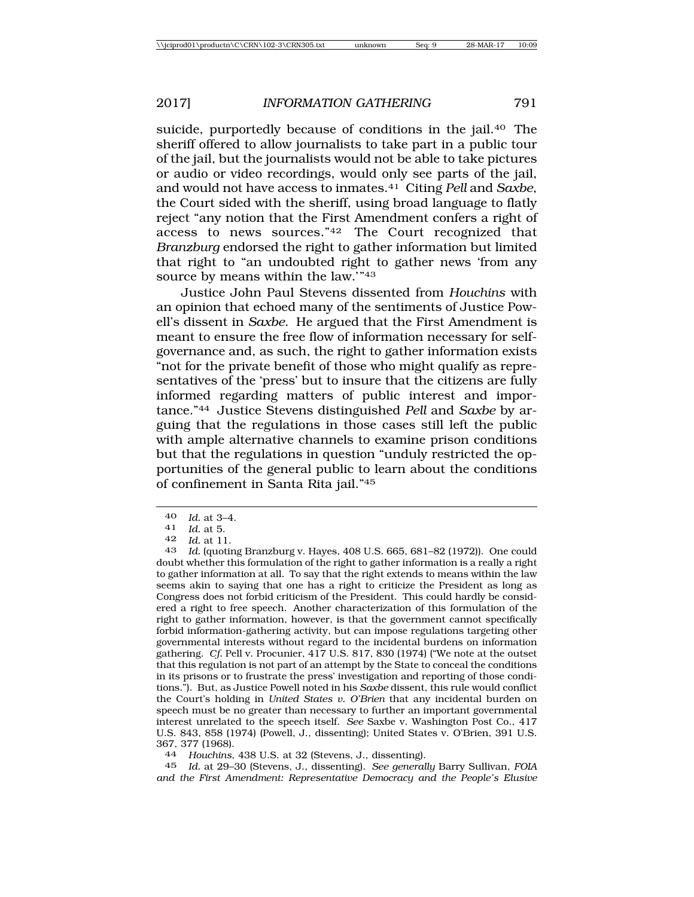suicide, purportedly because of conditions in the jail.40 The sheriff offered to allow journalists to take part in a public tour of the jail, but the journalists would not be able to take pictures or audio or video recordings, would only see parts of the jail, and would not have access to inmates.41 Citing *Pell* and *Saxbe*, the Court sided with the sheriff, using broad language to flatly reject "any notion that the First Amendment confers a right of access to news sources."42 The Court recognized that *Branzburg* endorsed the right to gather information but limited that right to "an undoubted right to gather news 'from any source by means within the law.'"43

Justice John Paul Stevens dissented from *Houchins* with an opinion that echoed many of the sentiments of Justice Powell's dissent in *Saxbe*. He argued that the First Amendment is meant to ensure the free flow of information necessary for selfgovernance and, as such, the right to gather information exists "not for the private benefit of those who might qualify as representatives of the 'press' but to insure that the citizens are fully informed regarding matters of public interest and importance."44 Justice Stevens distinguished *Pell* and *Saxbe* by arguing that the regulations in those cases still left the public with ample alternative channels to examine prison conditions but that the regulations in question "unduly restricted the opportunities of the general public to learn about the conditions of confinement in Santa Rita jail."45

43 *Id.* (quoting Branzburg v. Hayes, 408 U.S. 665, 681–82 (1972)). One could doubt whether this formulation of the right to gather information is a really a right to gather information at all. To say that the right extends to means within the law seems akin to saying that one has a right to criticize the President as long as Congress does not forbid criticism of the President. This could hardly be considered a right to free speech. Another characterization of this formulation of the right to gather information, however, is that the government cannot specifically forbid information-gathering activity, but can impose regulations targeting other governmental interests without regard to the incidental burdens on information gathering. *Cf.* Pell v. Procunier, 417 U.S. 817, 830 (1974) ("We note at the outset that this regulation is not part of an attempt by the State to conceal the conditions in its prisons or to frustrate the press' investigation and reporting of those conditions."). But, as Justice Powell noted in his *Saxbe* dissent, this rule would conflict the Court's holding in *United States v. O'Brien* that any incidental burden on speech must be no greater than necessary to further an important governmental interest unrelated to the speech itself. *See* Saxbe v. Washington Post Co., 417 U.S. 843, 858 (1974) (Powell, J., dissenting); United States v. O'Brien, 391 U.S. 367, 377 (1968).

44 *Houchins*, 438 U.S. at 32 (Stevens, J., dissenting).

45 *Id.* at 29–30 (Stevens, J., dissenting). *See generally* Barry Sullivan, *FOIA and the First Amendment: Representative Democracy and the People's Elusive*

<sup>40</sup> *Id.* at 3–4. <sup>41</sup> *Id.* at 5.

<sup>42</sup> *Id.* at 11.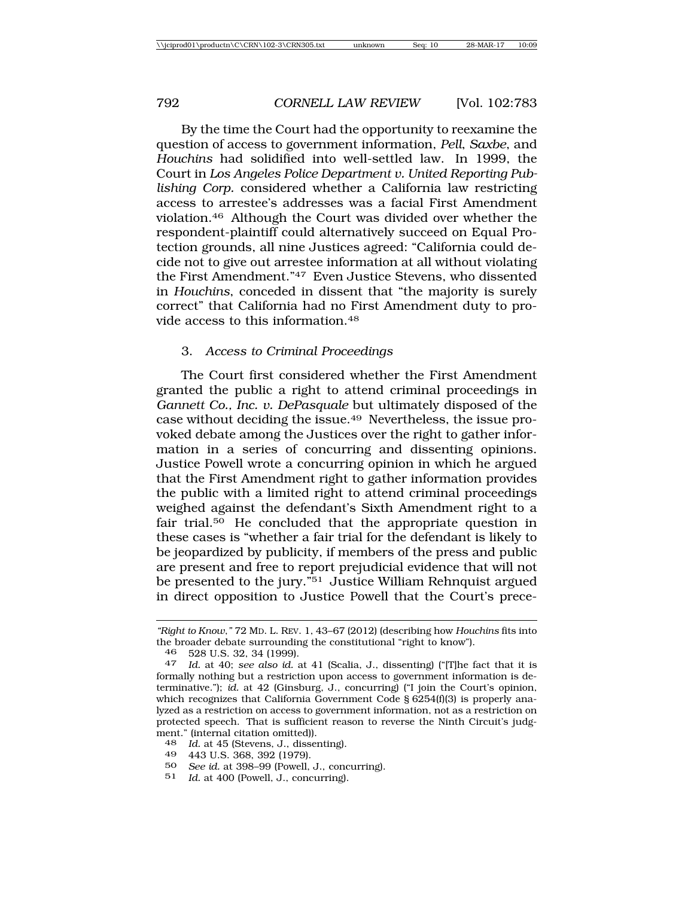By the time the Court had the opportunity to reexamine the question of access to government information, *Pell*, *Saxbe*, and *Houchins* had solidified into well-settled law. In 1999, the Court in *Los Angeles Police Department v. United Reporting Publishing Corp.* considered whether a California law restricting access to arrestee's addresses was a facial First Amendment violation.46 Although the Court was divided over whether the respondent-plaintiff could alternatively succeed on Equal Protection grounds, all nine Justices agreed: "California could decide not to give out arrestee information at all without violating the First Amendment."47 Even Justice Stevens, who dissented in *Houchins*, conceded in dissent that "the majority is surely correct" that California had no First Amendment duty to provide access to this information.48

#### 3. *Access to Criminal Proceedings*

The Court first considered whether the First Amendment granted the public a right to attend criminal proceedings in *Gannett Co., Inc. v. DePasquale* but ultimately disposed of the case without deciding the issue.49 Nevertheless, the issue provoked debate among the Justices over the right to gather information in a series of concurring and dissenting opinions. Justice Powell wrote a concurring opinion in which he argued that the First Amendment right to gather information provides the public with a limited right to attend criminal proceedings weighed against the defendant's Sixth Amendment right to a fair trial.50 He concluded that the appropriate question in these cases is "whether a fair trial for the defendant is likely to be jeopardized by publicity, if members of the press and public are present and free to report prejudicial evidence that will not be presented to the jury."<sup>51</sup> Justice William Rehnquist argued in direct opposition to Justice Powell that the Court's prece-

- 49 443 U.S. 368, 392 (1979).
- 50 *See id.* at 398–99 (Powell, J., concurring).
- 51 *Id.* at 400 (Powell, J., concurring).

*<sup>&</sup>quot;Right to Know*,*"* 72 MD. L. REV. 1, 43–67 (2012) (describing how *Houchins* fits into the broader debate surrounding the constitutional "right to know").

<sup>46</sup> 528 U.S. 32, 34 (1999). <sup>47</sup> *Id.* at 40; *see also id.* at 41 (Scalia, J., dissenting) ("[T]he fact that it is formally nothing but a restriction upon access to government information is determinative."); *id.* at 42 (Ginsburg, J., concurring) ("I join the Court's opinion, which recognizes that California Government Code § 6254(f)(3) is properly analyzed as a restriction on access to government information, not as a restriction on protected speech. That is sufficient reason to reverse the Ninth Circuit's judgment." (internal citation omitted)).

<sup>48</sup> *Id.* at 45 (Stevens, J., dissenting).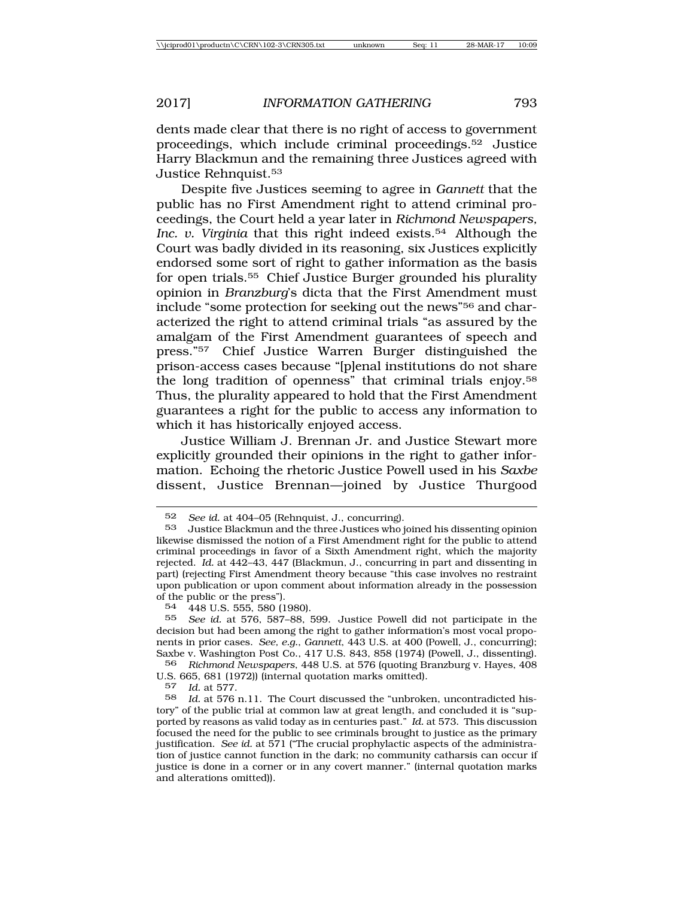dents made clear that there is no right of access to government proceedings, which include criminal proceedings.52 Justice Harry Blackmun and the remaining three Justices agreed with Justice Rehnquist.53

Despite five Justices seeming to agree in *Gannett* that the public has no First Amendment right to attend criminal proceedings, the Court held a year later in *Richmond Newspapers,* Inc. v. Virginia that this right indeed exists.<sup>54</sup> Although the Court was badly divided in its reasoning, six Justices explicitly endorsed some sort of right to gather information as the basis for open trials.55 Chief Justice Burger grounded his plurality opinion in *Branzburg*'s dicta that the First Amendment must include "some protection for seeking out the news"56 and characterized the right to attend criminal trials "as assured by the amalgam of the First Amendment guarantees of speech and press."57 Chief Justice Warren Burger distinguished the prison-access cases because "[p]enal institutions do not share the long tradition of openness" that criminal trials enjoy.58 Thus, the plurality appeared to hold that the First Amendment guarantees a right for the public to access any information to which it has historically enjoyed access.

Justice William J. Brennan Jr. and Justice Stewart more explicitly grounded their opinions in the right to gather information. Echoing the rhetoric Justice Powell used in his *Saxbe* dissent, Justice Brennan—joined by Justice Thurgood

56 *Richmond Newspapers*, 448 U.S. at 576 (quoting Branzburg v. Hayes, 408 U.S. 665, 681 (1972)) (internal quotation marks omitted).

57 *Id.* at 577.

<sup>52</sup> *See id.* at 404–05 (Rehnquist, J., concurring).

<sup>53</sup> Justice Blackmun and the three Justices who joined his dissenting opinion likewise dismissed the notion of a First Amendment right for the public to attend criminal proceedings in favor of a Sixth Amendment right, which the majority rejected. *Id.* at 442–43, 447 (Blackmun, J., concurring in part and dissenting in part) (rejecting First Amendment theory because "this case involves no restraint upon publication or upon comment about information already in the possession % of the public or the press").<br> $54444811555555011$ 

<sup>54</sup> 448 U.S. 555, 580 (1980).

<sup>55</sup> *See id.* at 576, 587–88, 599. Justice Powell did not participate in the decision but had been among the right to gather information's most vocal proponents in prior cases. *See, e.g.*, *Gannett*, 443 U.S. at 400 (Powell, J., concurring); Saxbe v. Washington Post Co., 417 U.S. 843, 858 (1974) (Powell, J., dissenting).

<sup>58</sup> *Id.* at 576 n.11. The Court discussed the "unbroken, uncontradicted history" of the public trial at common law at great length, and concluded it is "supported by reasons as valid today as in centuries past." *Id.* at 573. This discussion focused the need for the public to see criminals brought to justice as the primary justification. *See id.* at 571 ("The crucial prophylactic aspects of the administration of justice cannot function in the dark; no community catharsis can occur if justice is done in a corner or in any covert manner." (internal quotation marks and alterations omitted)).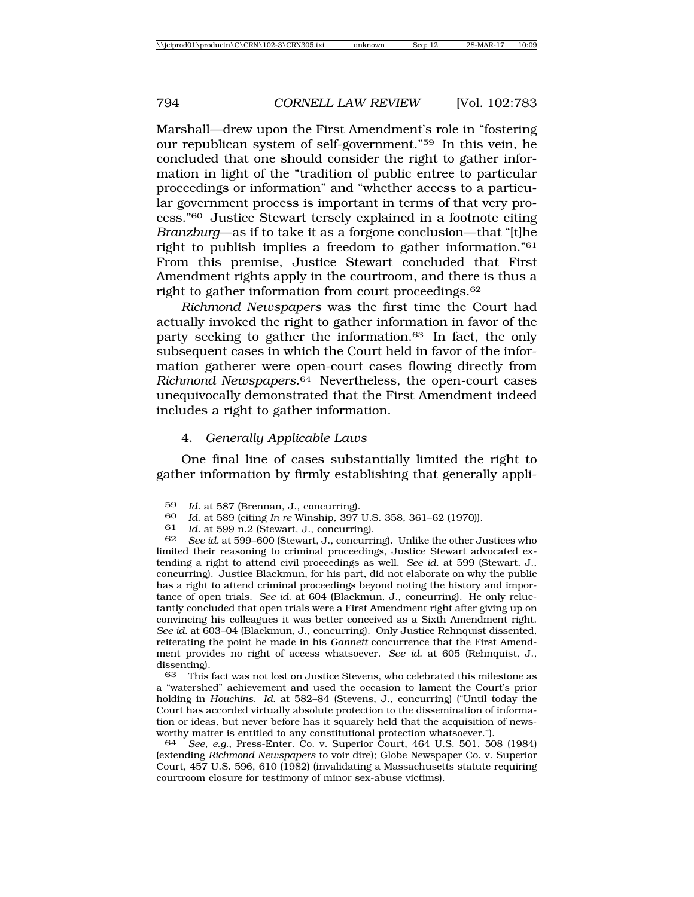Marshall—drew upon the First Amendment's role in "fostering our republican system of self-government."59 In this vein, he concluded that one should consider the right to gather information in light of the "tradition of public entree to particular proceedings or information" and "whether access to a particular government process is important in terms of that very process."60 Justice Stewart tersely explained in a footnote citing *Branzburg*—as if to take it as a forgone conclusion—that "[t]he right to publish implies a freedom to gather information."61 From this premise, Justice Stewart concluded that First Amendment rights apply in the courtroom, and there is thus a right to gather information from court proceedings.62

*Richmond Newspapers* was the first time the Court had actually invoked the right to gather information in favor of the party seeking to gather the information.63 In fact, the only subsequent cases in which the Court held in favor of the information gatherer were open-court cases flowing directly from *Richmond Newspapers*.64 Nevertheless, the open-court cases unequivocally demonstrated that the First Amendment indeed includes a right to gather information.

# 4. *Generally Applicable Laws*

One final line of cases substantially limited the right to gather information by firmly establishing that generally appli-

<sup>59</sup> *Id.* at 587 (Brennan, J., concurring).

<sup>60</sup> *Id.* at 589 (citing *In re* Winship, 397 U.S. 358, 361–62 (1970)).

<sup>61</sup> *Id.* at 599 n.2 (Stewart, J., concurring).

<sup>62</sup> *See id.* at 599–600 (Stewart, J., concurring). Unlike the other Justices who limited their reasoning to criminal proceedings, Justice Stewart advocated extending a right to attend civil proceedings as well. *See id.* at 599 (Stewart, J., concurring). Justice Blackmun, for his part, did not elaborate on why the public has a right to attend criminal proceedings beyond noting the history and importance of open trials. *See id.* at 604 (Blackmun, J., concurring). He only reluctantly concluded that open trials were a First Amendment right after giving up on convincing his colleagues it was better conceived as a Sixth Amendment right. *See id.* at 603–04 (Blackmun, J., concurring). Only Justice Rehnquist dissented, reiterating the point he made in his *Gannett* concurrence that the First Amendment provides no right of access whatsoever. *See id.* at 605 (Rehnquist, J., dissenting).<br>63 This

<sup>63</sup> This fact was not lost on Justice Stevens, who celebrated this milestone as a "watershed" achievement and used the occasion to lament the Court's prior holding in *Houchins*. *Id.* at 582–84 (Stevens, J., concurring) ("Until today the Court has accorded virtually absolute protection to the dissemination of information or ideas, but never before has it squarely held that the acquisition of newsworthy matter is entitled to any constitutional protection whatsoever.").

<sup>64</sup> *See, e.g.*, Press-Enter. Co. v. Superior Court, 464 U.S. 501, 508 (1984) (extending *Richmond Newspapers* to voir dire); Globe Newspaper Co. v. Superior Court, 457 U.S. 596, 610 (1982) (invalidating a Massachusetts statute requiring courtroom closure for testimony of minor sex-abuse victims).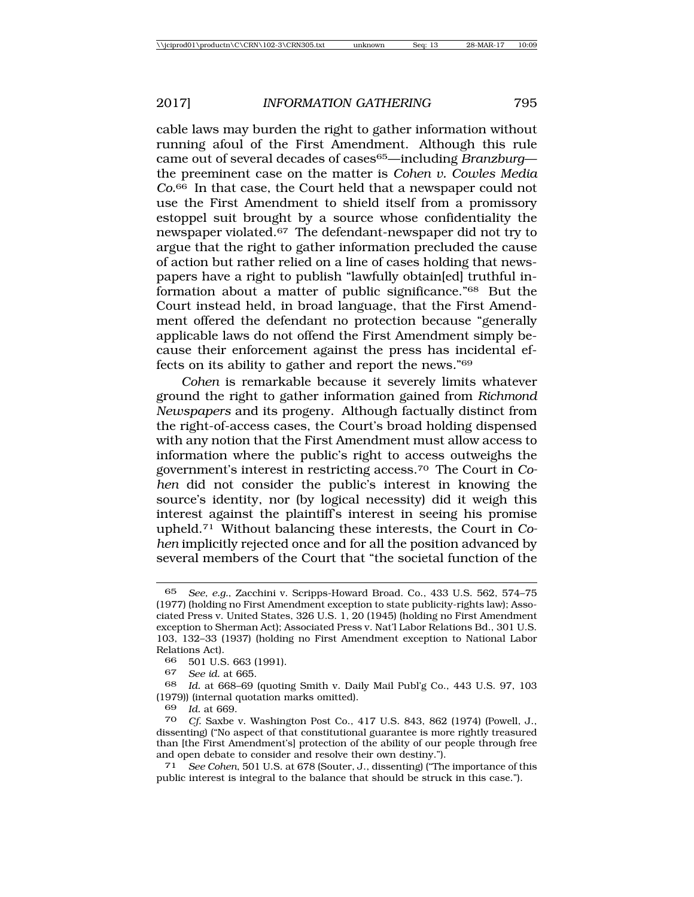cable laws may burden the right to gather information without running afoul of the First Amendment. Although this rule came out of several decades of cases65—including *Branzburg* the preeminent case on the matter is *Cohen v. Cowles Media Co.*66 In that case, the Court held that a newspaper could not use the First Amendment to shield itself from a promissory estoppel suit brought by a source whose confidentiality the newspaper violated.67 The defendant-newspaper did not try to argue that the right to gather information precluded the cause of action but rather relied on a line of cases holding that newspapers have a right to publish "lawfully obtain[ed] truthful information about a matter of public significance."68 But the Court instead held, in broad language, that the First Amendment offered the defendant no protection because "generally applicable laws do not offend the First Amendment simply because their enforcement against the press has incidental effects on its ability to gather and report the news*.*"69

*Cohen* is remarkable because it severely limits whatever ground the right to gather information gained from *Richmond Newspapers* and its progeny. Although factually distinct from the right-of-access cases, the Court's broad holding dispensed with any notion that the First Amendment must allow access to information where the public's right to access outweighs the government's interest in restricting access.70 The Court in *Cohen* did not consider the public's interest in knowing the source's identity, nor (by logical necessity) did it weigh this interest against the plaintiff's interest in seeing his promise upheld.71 Without balancing these interests, the Court in *Cohen* implicitly rejected once and for all the position advanced by several members of the Court that "the societal function of the

68 *Id.* at 668–69 (quoting Smith v. Daily Mail Publ'g Co., 443 U.S. 97, 103 (1979)) (internal quotation marks omitted).

69 *Id.* at 669.

<sup>65</sup> *See, e.g.*, Zacchini v. Scripps-Howard Broad. Co., 433 U.S. 562, 574–75 (1977) (holding no First Amendment exception to state publicity-rights law); Associated Press v. United States, 326 U.S. 1, 20 (1945) (holding no First Amendment exception to Sherman Act); Associated Press v. Nat'l Labor Relations Bd., 301 U.S. 103, 132–33 (1937) (holding no First Amendment exception to National Labor Relations Act).<br>66 501 U.S

<sup>66</sup> 501 U.S. 663 (1991).

<sup>67</sup> *See id.* at 665.

<sup>70</sup> *Cf.* Saxbe v. Washington Post Co., 417 U.S. 843, 862 (1974) (Powell, J., dissenting) ("No aspect of that constitutional guarantee is more rightly treasured than [the First Amendment's] protection of the ability of our people through free and open debate to consider and resolve their own destiny.").<br>
<sup>71</sup> See Cohen, 501 U.S. at 678 (Souter, J., dissenting) ("The

See Cohen, 501 U.S. at 678 (Souter, J., dissenting) ("The importance of this public interest is integral to the balance that should be struck in this case.").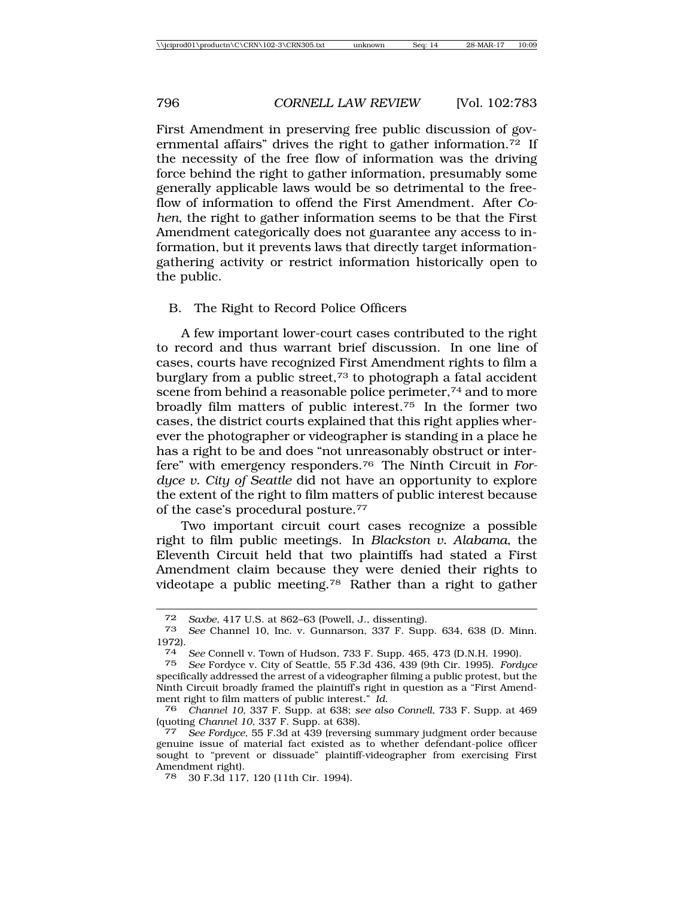First Amendment in preserving free public discussion of governmental affairs" drives the right to gather information. $72$  If the necessity of the free flow of information was the driving force behind the right to gather information, presumably some generally applicable laws would be so detrimental to the freeflow of information to offend the First Amendment. After *Cohen*, the right to gather information seems to be that the First Amendment categorically does not guarantee any access to information, but it prevents laws that directly target informationgathering activity or restrict information historically open to the public.

B. The Right to Record Police Officers

A few important lower-court cases contributed to the right to record and thus warrant brief discussion. In one line of cases, courts have recognized First Amendment rights to film a burglary from a public street, $73$  to photograph a fatal accident scene from behind a reasonable police perimeter,<sup>74</sup> and to more broadly film matters of public interest.75 In the former two cases, the district courts explained that this right applies wherever the photographer or videographer is standing in a place he has a right to be and does "not unreasonably obstruct or interfere" with emergency responders.76 The Ninth Circuit in *Fordyce v. City of Seattle* did not have an opportunity to explore the extent of the right to film matters of public interest because of the case's procedural posture.77

Two important circuit court cases recognize a possible right to film public meetings. In *Blackston v. Alabama*, the Eleventh Circuit held that two plaintiffs had stated a First Amendment claim because they were denied their rights to videotape a public meeting.<sup>78</sup> Rather than a right to gather

<sup>72</sup> *Saxbe*, 417 U.S. at 862–63 (Powell, J., dissenting).

<sup>73</sup> *See* Channel 10, Inc. v. Gunnarson, 337 F. Supp. 634, 638 (D. Minn. 1972).

<sup>74</sup> *See* Connell v. Town of Hudson, 733 F. Supp. 465, 473 (D.N.H. 1990).

<sup>75</sup> *See* Fordyce v. City of Seattle, 55 F.3d 436, 439 (9th Cir. 1995). *Fordyce* specifically addressed the arrest of a videographer filming a public protest, but the Ninth Circuit broadly framed the plaintiff's right in question as a "First Amendment right to film matters of public interest." *Id.*

<sup>76</sup> *Channel 10*, 337 F. Supp. at 638; *see also Connell*, 733 F. Supp. at 469

<sup>(</sup>quoting *Channel 10*, 337 F. Supp. at 638). <sup>77</sup> *See Fordyce*, 55 F.3d at 439 (reversing summary judgment order because genuine issue of material fact existed as to whether defendant-police officer sought to "prevent or dissuade" plaintiff-videographer from exercising First Amendment right).

<sup>78</sup> 30 F.3d 117, 120 (11th Cir. 1994).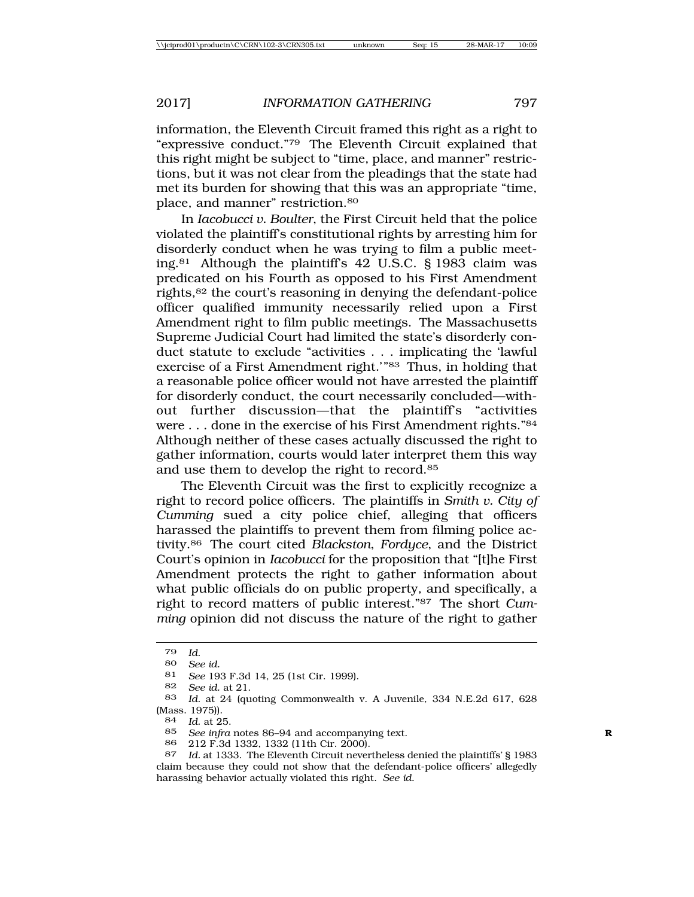information, the Eleventh Circuit framed this right as a right to "expressive conduct."79 The Eleventh Circuit explained that this right might be subject to "time, place, and manner" restrictions, but it was not clear from the pleadings that the state had met its burden for showing that this was an appropriate "time, place, and manner" restriction.80

In *Iacobucci v. Boulter*, the First Circuit held that the police violated the plaintiff's constitutional rights by arresting him for disorderly conduct when he was trying to film a public meeting.81 Although the plaintiff's 42 U.S.C. § 1983 claim was predicated on his Fourth as opposed to his First Amendment rights,82 the court's reasoning in denying the defendant-police officer qualified immunity necessarily relied upon a First Amendment right to film public meetings. The Massachusetts Supreme Judicial Court had limited the state's disorderly conduct statute to exclude "activities . . . implicating the 'lawful exercise of a First Amendment right.'"<sup>83</sup> Thus, in holding that a reasonable police officer would not have arrested the plaintiff for disorderly conduct, the court necessarily concluded—without further discussion—that the plaintiff's "activities" were . . . done in the exercise of his First Amendment rights."84 Although neither of these cases actually discussed the right to gather information, courts would later interpret them this way and use them to develop the right to record.85

The Eleventh Circuit was the first to explicitly recognize a right to record police officers. The plaintiffs in *Smith v. City of Cumming* sued a city police chief, alleging that officers harassed the plaintiffs to prevent them from filming police activity.86 The court cited *Blackston*, *Fordyce*, and the District Court's opinion in *Iacobucci* for the proposition that "[t]he First Amendment protects the right to gather information about what public officials do on public property, and specifically, a right to record matters of public interest."87 The short *Cumming* opinion did not discuss the nature of the right to gather

<sup>79</sup> *Id.*

<sup>80</sup> *See id.*

<sup>81</sup> *See* 193 F.3d 14, 25 (1st Cir. 1999).

<sup>82</sup> *See id.* at 21.

<sup>83</sup> *Id.* at 24 (quoting Commonwealth v. A Juvenile, 334 N.E.2d 617, 628 (Mass. 1975)).<br> $84 \frac{Id}{d}$  at 2.

*Id.* at 25.

<sup>85</sup> *See infra* notes 86–94 and accompanying text. **R**

<sup>86</sup> 212 F.3d 1332, 1332 (11th Cir. 2000).

<sup>87</sup> *Id.* at 1333. The Eleventh Circuit nevertheless denied the plaintiffs' § 1983 claim because they could not show that the defendant-police officers' allegedly harassing behavior actually violated this right. *See id.*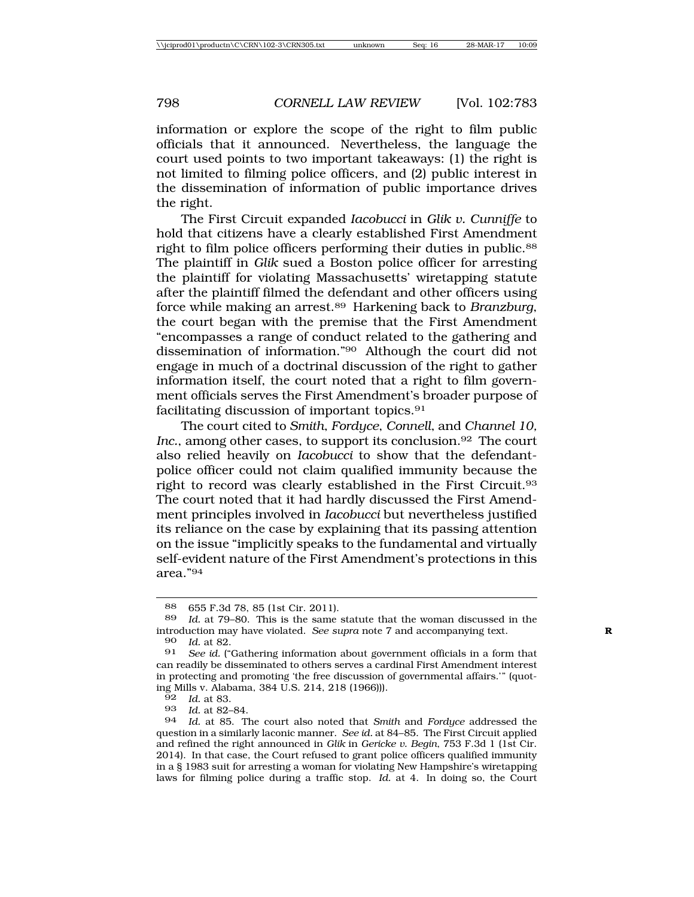information or explore the scope of the right to film public officials that it announced. Nevertheless, the language the court used points to two important takeaways: (1) the right is not limited to filming police officers, and (2) public interest in the dissemination of information of public importance drives the right.

The First Circuit expanded *Iacobucci* in *Glik v. Cunniffe* to hold that citizens have a clearly established First Amendment right to film police officers performing their duties in public.88 The plaintiff in *Glik* sued a Boston police officer for arresting the plaintiff for violating Massachusetts' wiretapping statute after the plaintiff filmed the defendant and other officers using force while making an arrest.89 Harkening back to *Branzburg*, the court began with the premise that the First Amendment "encompasses a range of conduct related to the gathering and dissemination of information."90 Although the court did not engage in much of a doctrinal discussion of the right to gather information itself, the court noted that a right to film government officials serves the First Amendment's broader purpose of facilitating discussion of important topics.91

The court cited to *Smith*, *Fordyce*, *Connell*, and *Channel 10,* Inc., among other cases, to support its conclusion.<sup>92</sup> The court also relied heavily on *Iacobucci* to show that the defendantpolice officer could not claim qualified immunity because the right to record was clearly established in the First Circuit.93 The court noted that it had hardly discussed the First Amendment principles involved in *Iacobucci* but nevertheless justified its reliance on the case by explaining that its passing attention on the issue "implicitly speaks to the fundamental and virtually self-evident nature of the First Amendment's protections in this area."94

90 *Id.* at 82.

92 *Id.* at 83.

93 *Id.* at 82–84.

<sup>88</sup> 655 F.3d 78, 85 (1st Cir. 2011).

<sup>89</sup> *Id.* at 79–80. This is the same statute that the woman discussed in the introduction may have violated. *See supra* note 7 and accompanying text. **R**

<sup>91</sup> *See id.* ("Gathering information about government officials in a form that can readily be disseminated to others serves a cardinal First Amendment interest in protecting and promoting 'the free discussion of governmental affairs.'" (quoting Mills v. Alabama, 384 U.S. 214, 218 (1966))).

<sup>94</sup> *Id.* at 85. The court also noted that *Smith* and *Fordyce* addressed the question in a similarly laconic manner. *See id.* at 84–85. The First Circuit applied and refined the right announced in *Glik* in *Gericke v. Begin*, 753 F.3d 1 (1st Cir. 2014). In that case, the Court refused to grant police officers qualified immunity in a § 1983 suit for arresting a woman for violating New Hampshire's wiretapping laws for filming police during a traffic stop. *Id.* at 4. In doing so, the Court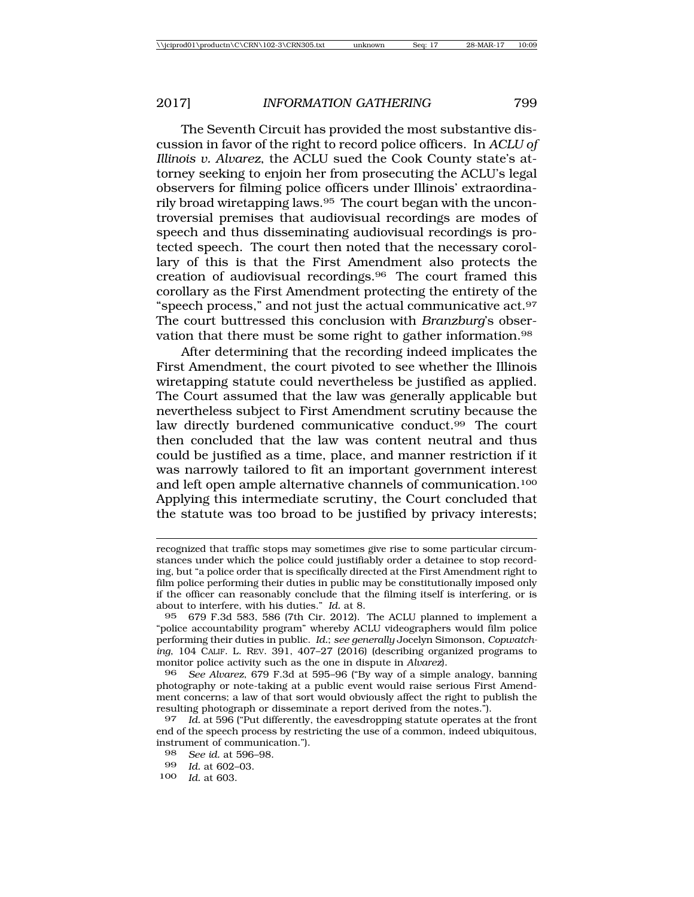The Seventh Circuit has provided the most substantive discussion in favor of the right to record police officers. In *ACLU of Illinois v. Alvarez*, the ACLU sued the Cook County state's attorney seeking to enjoin her from prosecuting the ACLU's legal observers for filming police officers under Illinois' extraordinarily broad wiretapping laws.95 The court began with the uncontroversial premises that audiovisual recordings are modes of speech and thus disseminating audiovisual recordings is protected speech. The court then noted that the necessary corollary of this is that the First Amendment also protects the creation of audiovisual recordings.96 The court framed this corollary as the First Amendment protecting the entirety of the "speech process," and not just the actual communicative act.97 The court buttressed this conclusion with *Branzburg*'s observation that there must be some right to gather information.98

After determining that the recording indeed implicates the First Amendment, the court pivoted to see whether the Illinois wiretapping statute could nevertheless be justified as applied. The Court assumed that the law was generally applicable but nevertheless subject to First Amendment scrutiny because the law directly burdened communicative conduct.<sup>99</sup> The court then concluded that the law was content neutral and thus could be justified as a time, place, and manner restriction if it was narrowly tailored to fit an important government interest and left open ample alternative channels of communication.100 Applying this intermediate scrutiny, the Court concluded that the statute was too broad to be justified by privacy interests;

95 679 F.3d 583, 586 (7th Cir. 2012). The ACLU planned to implement a "police accountability program" whereby ACLU videographers would film police performing their duties in public. *Id.*; *see generally* Jocelyn Simonson, *Copwatching*, 104 CALIF. L. REV. 391, 407–27 (2016) (describing organized programs to monitor police activity such as the one in dispute in *Alvarez*).

96 *See Alvarez*, 679 F.3d at 595–96 ("By way of a simple analogy, banning photography or note-taking at a public event would raise serious First Amendment concerns; a law of that sort would obviously affect the right to publish the resulting photograph or disseminate a report derived from the notes.").

97 *Id.* at 596 ("Put differently, the eavesdropping statute operates at the front end of the speech process by restricting the use of a common, indeed ubiquitous, instrument of communication.").

recognized that traffic stops may sometimes give rise to some particular circumstances under which the police could justifiably order a detainee to stop recording, but "a police order that is specifically directed at the First Amendment right to film police performing their duties in public may be constitutionally imposed only if the officer can reasonably conclude that the filming itself is interfering, or is about to interfere, with his duties." *Id.* at 8.

<sup>98</sup> *See id.* at 596–98.

<sup>99</sup> *Id.* at 602–03.<br>100 *Id.* at 603

*Id.* at 603.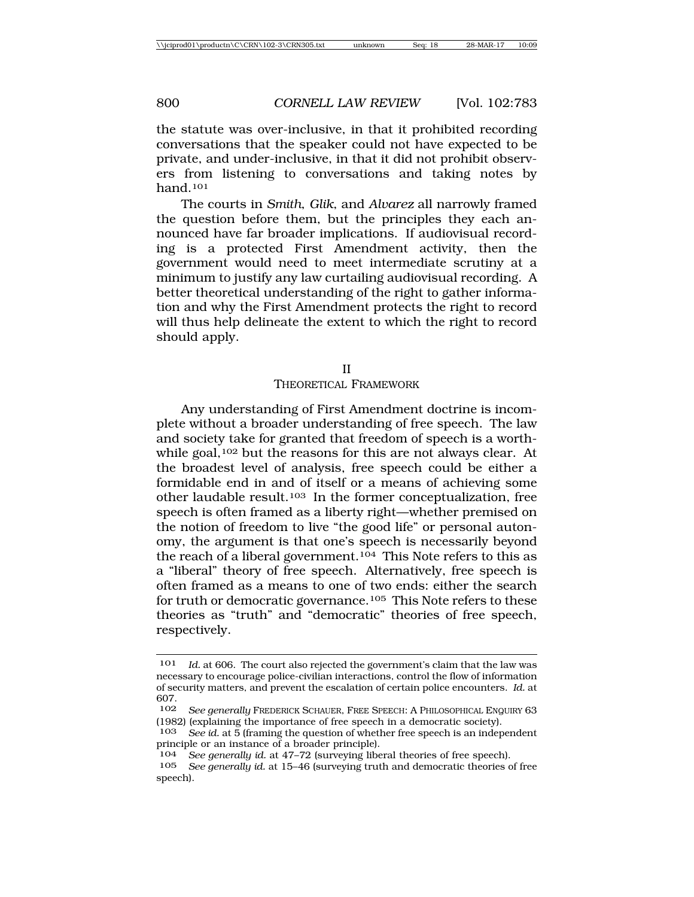the statute was over-inclusive, in that it prohibited recording conversations that the speaker could not have expected to be private, and under-inclusive, in that it did not prohibit observers from listening to conversations and taking notes by hand.101

The courts in *Smith*, *Glik*, and *Alvarez* all narrowly framed the question before them, but the principles they each announced have far broader implications. If audiovisual recording is a protected First Amendment activity, then the government would need to meet intermediate scrutiny at a minimum to justify any law curtailing audiovisual recording. A better theoretical understanding of the right to gather information and why the First Amendment protects the right to record will thus help delineate the extent to which the right to record should apply.

II

#### THEORETICAL FRAMEWORK

Any understanding of First Amendment doctrine is incomplete without a broader understanding of free speech. The law and society take for granted that freedom of speech is a worthwhile goal,<sup>102</sup> but the reasons for this are not always clear. At the broadest level of analysis, free speech could be either a formidable end in and of itself or a means of achieving some other laudable result.103 In the former conceptualization, free speech is often framed as a liberty right—whether premised on the notion of freedom to live "the good life" or personal autonomy, the argument is that one's speech is necessarily beyond the reach of a liberal government.104 This Note refers to this as a "liberal" theory of free speech. Alternatively, free speech is often framed as a means to one of two ends: either the search for truth or democratic governance.105 This Note refers to these theories as "truth" and "democratic" theories of free speech, respectively.

<sup>101</sup> *Id.* at 606. The court also rejected the government's claim that the law was necessary to encourage police-civilian interactions, control the flow of information of security matters, and prevent the escalation of certain police encounters. *Id.* at 607.

See generally FREDERICK SCHAUER, FREE SPEECH: A PHILOSOPHICAL ENQUIRY 63 (1982) (explaining the importance of free speech in a democratic society).

<sup>103</sup> *See id.* at 5 (framing the question of whether free speech is an independent principle or an instance of a broader principle).

<sup>104</sup> *See generally id.* at 47–72 (surveying liberal theories of free speech).

See generally id. at 15-46 (surveying truth and democratic theories of free speech).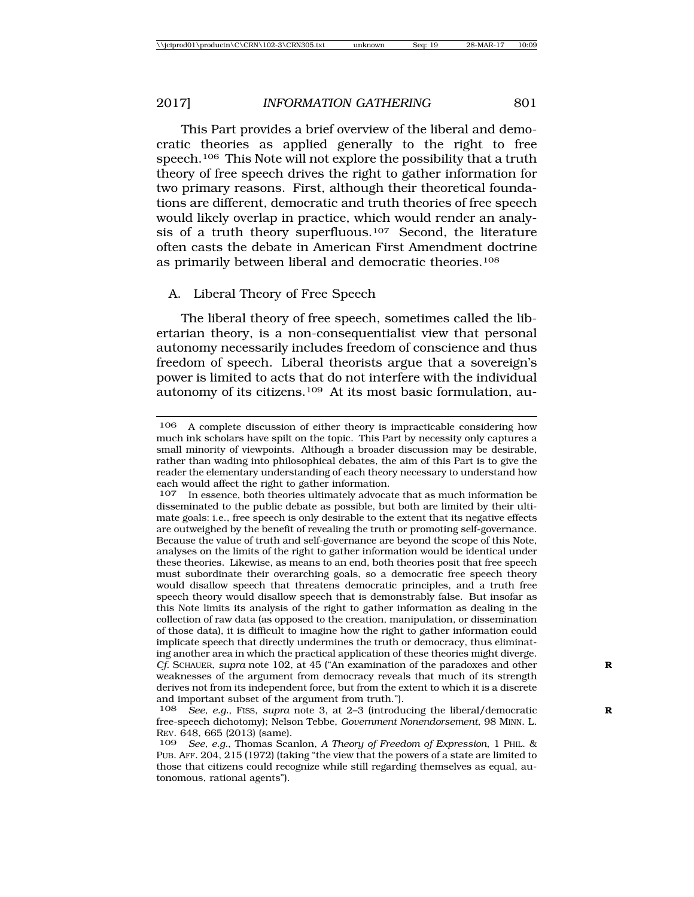This Part provides a brief overview of the liberal and democratic theories as applied generally to the right to free speech.<sup>106</sup> This Note will not explore the possibility that a truth theory of free speech drives the right to gather information for two primary reasons. First, although their theoretical foundations are different, democratic and truth theories of free speech would likely overlap in practice, which would render an analysis of a truth theory superfluous.107 Second, the literature often casts the debate in American First Amendment doctrine as primarily between liberal and democratic theories.108

# A. Liberal Theory of Free Speech

The liberal theory of free speech, sometimes called the libertarian theory, is a non-consequentialist view that personal autonomy necessarily includes freedom of conscience and thus freedom of speech. Liberal theorists argue that a sovereign's power is limited to acts that do not interfere with the individual autonomy of its citizens.109 At its most basic formulation, au-

<sup>106</sup> A complete discussion of either theory is impracticable considering how much ink scholars have spilt on the topic. This Part by necessity only captures a small minority of viewpoints. Although a broader discussion may be desirable, rather than wading into philosophical debates, the aim of this Part is to give the reader the elementary understanding of each theory necessary to understand how each would affect the right to gather information.<br>107 In essence both theories ultimately advoca

In essence, both theories ultimately advocate that as much information be disseminated to the public debate as possible, but both are limited by their ultimate goals: i.e., free speech is only desirable to the extent that its negative effects are outweighed by the benefit of revealing the truth or promoting self-governance. Because the value of truth and self-governance are beyond the scope of this Note, analyses on the limits of the right to gather information would be identical under these theories. Likewise, as means to an end, both theories posit that free speech must subordinate their overarching goals, so a democratic free speech theory would disallow speech that threatens democratic principles, and a truth free speech theory would disallow speech that is demonstrably false. But insofar as this Note limits its analysis of the right to gather information as dealing in the collection of raw data (as opposed to the creation, manipulation, or dissemination of those data), it is difficult to imagine how the right to gather information could implicate speech that directly undermines the truth or democracy, thus eliminating another area in which the practical application of these theories might diverge. *Cf.* SCHAUER, *supra* note 102, at 45 ("An examination of the paradoxes and other **R** weaknesses of the argument from democracy reveals that much of its strength derives not from its independent force, but from the extent to which it is a discrete and important subset of the argument from truth.").<br> $108$  See, e.g., FISS, supra note 3, at 2-3 (introdu

See, e.g., FISS, *supra* note 3, at 2-3 (introducing the liberal/democratic free-speech dichotomy); Nelson Tebbe, *Government Nonendorsement*, 98 MINN. L. REV. 648, 665 (2013) (same).<br>109 *See e a* Thomas Sca

<sup>109</sup> *See, e.g.*, Thomas Scanlon, *A Theory of Freedom of Expression*, 1 PHIL. & PUB. AFF. 204, 215 (1972) (taking "the view that the powers of a state are limited to those that citizens could recognize while still regarding themselves as equal, autonomous, rational agents").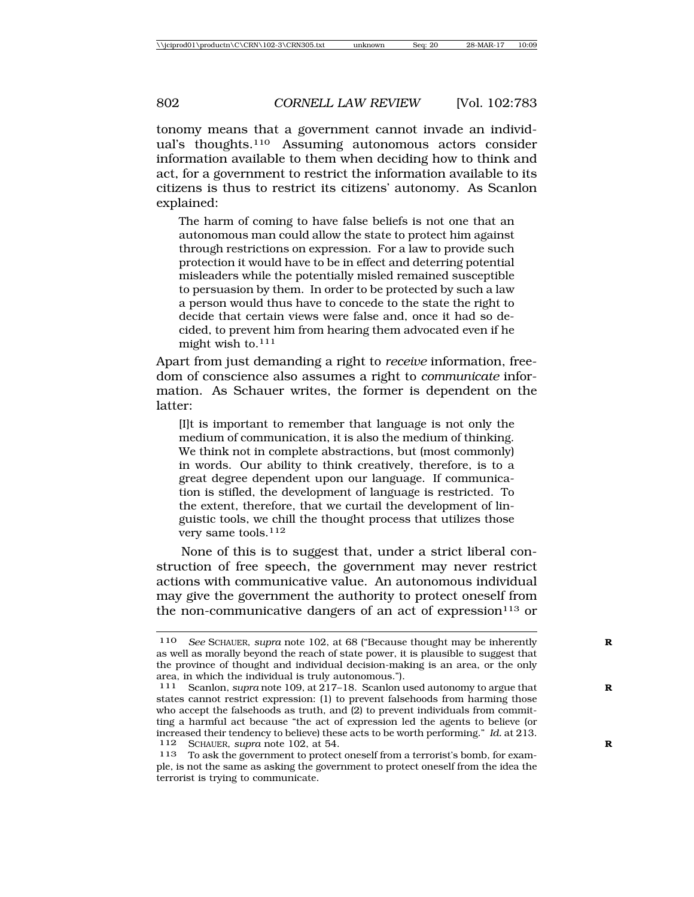tonomy means that a government cannot invade an individual's thoughts.110 Assuming autonomous actors consider information available to them when deciding how to think and act, for a government to restrict the information available to its citizens is thus to restrict its citizens' autonomy. As Scanlon explained:

The harm of coming to have false beliefs is not one that an autonomous man could allow the state to protect him against through restrictions on expression. For a law to provide such protection it would have to be in effect and deterring potential misleaders while the potentially misled remained susceptible to persuasion by them. In order to be protected by such a law a person would thus have to concede to the state the right to decide that certain views were false and, once it had so decided, to prevent him from hearing them advocated even if he might wish to.111

Apart from just demanding a right to *receive* information, freedom of conscience also assumes a right to *communicate* information. As Schauer writes, the former is dependent on the latter:

[I]t is important to remember that language is not only the medium of communication, it is also the medium of thinking. We think not in complete abstractions, but (most commonly) in words. Our ability to think creatively, therefore, is to a great degree dependent upon our language. If communication is stifled, the development of language is restricted. To the extent, therefore, that we curtail the development of linguistic tools, we chill the thought process that utilizes those very same tools.112

None of this is to suggest that, under a strict liberal construction of free speech, the government may never restrict actions with communicative value. An autonomous individual may give the government the authority to protect oneself from the non-communicative dangers of an act of expression<sup>113</sup> or

<sup>110</sup> *See* SCHAUER, *supra* note 102, at 68 ("Because thought may be inherently **R** as well as morally beyond the reach of state power, it is plausible to suggest that the province of thought and individual decision-making is an area, or the only area, in which the individual is truly autonomous.").

<sup>111</sup> Scanlon, *supra* note 109, at 217–18. Scanlon used autonomy to argue that **R** states cannot restrict expression: (1) to prevent falsehoods from harming those who accept the falsehoods as truth, and (2) to prevent individuals from committing a harmful act because "the act of expression led the agents to believe (or increased their tendency to believe) these acts to be worth performing." *Id.* at 213. 112 SCHAUER, *supra* note 102, at 54. **R**

<sup>113</sup> To ask the government to protect oneself from a terrorist's bomb, for example, is not the same as asking the government to protect oneself from the idea the terrorist is trying to communicate.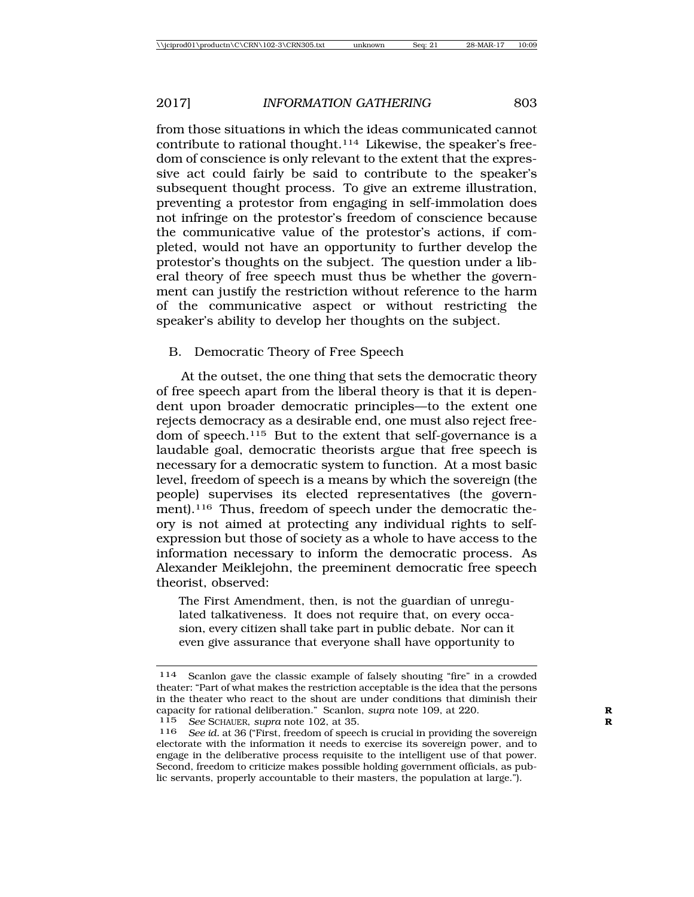from those situations in which the ideas communicated cannot contribute to rational thought.114 Likewise, the speaker's freedom of conscience is only relevant to the extent that the expressive act could fairly be said to contribute to the speaker's subsequent thought process. To give an extreme illustration, preventing a protestor from engaging in self-immolation does not infringe on the protestor's freedom of conscience because the communicative value of the protestor's actions, if completed, would not have an opportunity to further develop the protestor's thoughts on the subject. The question under a liberal theory of free speech must thus be whether the government can justify the restriction without reference to the harm of the communicative aspect or without restricting the speaker's ability to develop her thoughts on the subject.

# B. Democratic Theory of Free Speech

At the outset, the one thing that sets the democratic theory of free speech apart from the liberal theory is that it is dependent upon broader democratic principles—to the extent one rejects democracy as a desirable end, one must also reject freedom of speech.115 But to the extent that self-governance is a laudable goal, democratic theorists argue that free speech is necessary for a democratic system to function. At a most basic level, freedom of speech is a means by which the sovereign (the people) supervises its elected representatives (the government).<sup>116</sup> Thus, freedom of speech under the democratic theory is not aimed at protecting any individual rights to selfexpression but those of society as a whole to have access to the information necessary to inform the democratic process. As Alexander Meiklejohn, the preeminent democratic free speech theorist, observed:

The First Amendment, then, is not the guardian of unregulated talkativeness. It does not require that, on every occasion, every citizen shall take part in public debate. Nor can it even give assurance that everyone shall have opportunity to

<sup>114</sup> Scanlon gave the classic example of falsely shouting "fire" in a crowded theater: "Part of what makes the restriction acceptable is the idea that the persons in the theater who react to the shout are under conditions that diminish their capacity for rational deliberation." Scanlon, *supra* note 109, at 220.<br>115 See SCHAUER, *supra* note 102, at 35

See SCHAUER, *supra* note 102, at 35.

<sup>116</sup> *See id.* at 36 ("First, freedom of speech is crucial in providing the sovereign electorate with the information it needs to exercise its sovereign power, and to engage in the deliberative process requisite to the intelligent use of that power. Second, freedom to criticize makes possible holding government officials, as public servants, properly accountable to their masters, the population at large.").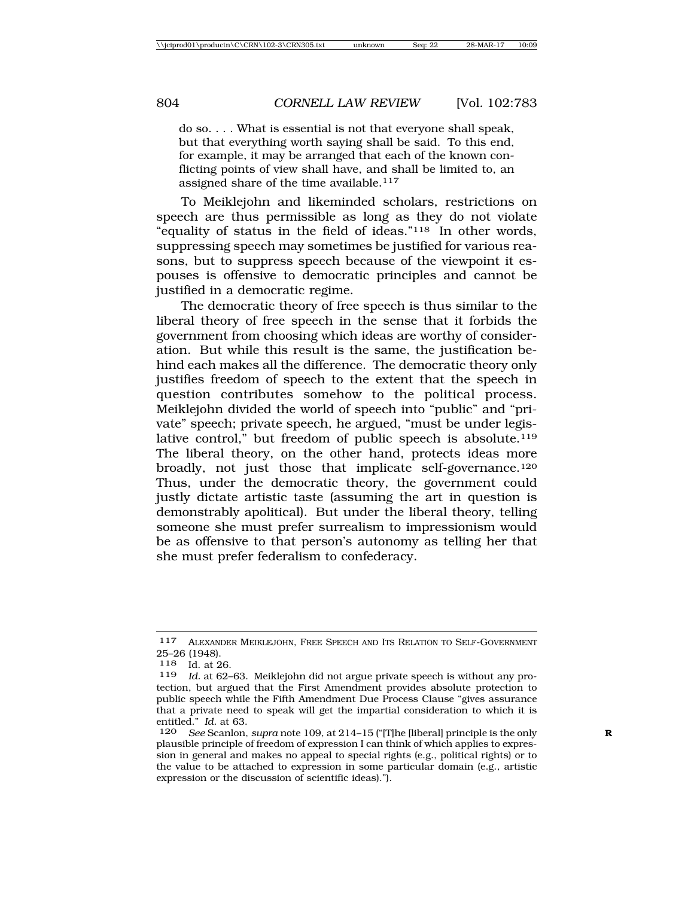do so. . . . What is essential is not that everyone shall speak, but that everything worth saying shall be said. To this end, for example, it may be arranged that each of the known conflicting points of view shall have, and shall be limited to, an assigned share of the time available.<sup>117</sup>

To Meiklejohn and likeminded scholars, restrictions on speech are thus permissible as long as they do not violate "equality of status in the field of ideas."118 In other words, suppressing speech may sometimes be justified for various reasons, but to suppress speech because of the viewpoint it espouses is offensive to democratic principles and cannot be justified in a democratic regime.

The democratic theory of free speech is thus similar to the liberal theory of free speech in the sense that it forbids the government from choosing which ideas are worthy of consideration. But while this result is the same, the justification behind each makes all the difference. The democratic theory only justifies freedom of speech to the extent that the speech in question contributes somehow to the political process. Meiklejohn divided the world of speech into "public" and "private" speech; private speech, he argued, "must be under legislative control," but freedom of public speech is absolute.<sup>119</sup> The liberal theory, on the other hand, protects ideas more broadly, not just those that implicate self-governance.120 Thus, under the democratic theory, the government could justly dictate artistic taste (assuming the art in question is demonstrably apolitical). But under the liberal theory, telling someone she must prefer surrealism to impressionism would be as offensive to that person's autonomy as telling her that she must prefer federalism to confederacy.

<sup>117</sup> ALEXANDER MEIKLEJOHN, FREE SPEECH AND ITS RELATION TO SELF-GOVERNMENT 25–26 (1948).

<sup>118</sup> Id. at 26.<br>119 Id. at 62-

Id. at 62–63. Meiklejohn did not argue private speech is without any protection, but argued that the First Amendment provides absolute protection to public speech while the Fifth Amendment Due Process Clause "gives assurance that a private need to speak will get the impartial consideration to which it is entitled." *Id.* at 63.

<sup>120</sup> *See* Scanlon, *supra* note 109, at 214–15 ("[T]he [liberal] principle is the only **R** plausible principle of freedom of expression I can think of which applies to expression in general and makes no appeal to special rights (e.g., political rights) or to the value to be attached to expression in some particular domain (e.g., artistic expression or the discussion of scientific ideas).").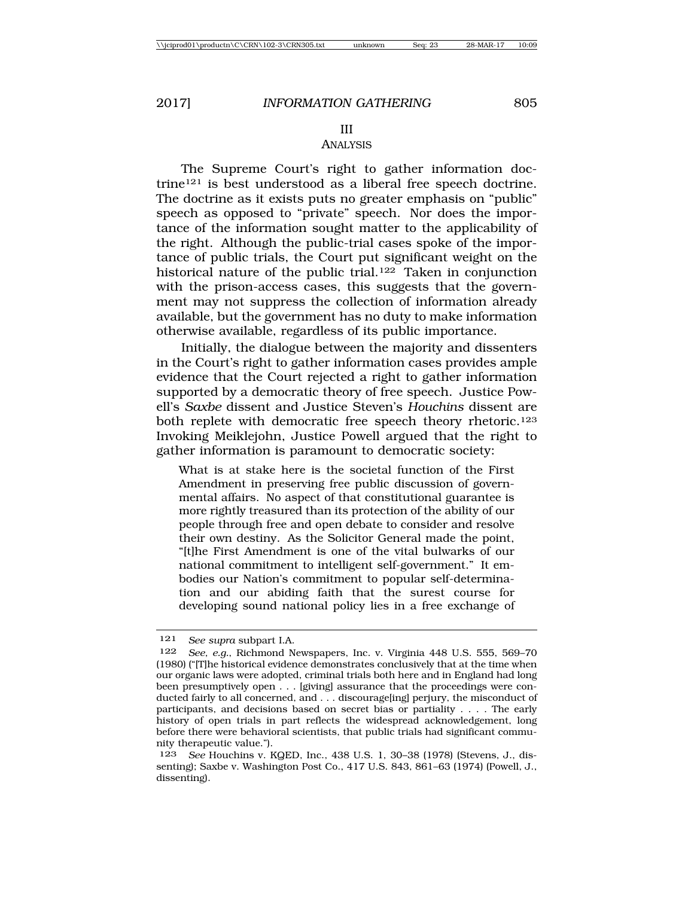### III ANALYSIS

The Supreme Court's right to gather information doctrine121 is best understood as a liberal free speech doctrine. The doctrine as it exists puts no greater emphasis on "public" speech as opposed to "private" speech. Nor does the importance of the information sought matter to the applicability of the right. Although the public-trial cases spoke of the importance of public trials, the Court put significant weight on the historical nature of the public trial.<sup>122</sup> Taken in conjunction with the prison-access cases, this suggests that the government may not suppress the collection of information already available, but the government has no duty to make information otherwise available, regardless of its public importance.

Initially, the dialogue between the majority and dissenters in the Court's right to gather information cases provides ample evidence that the Court rejected a right to gather information supported by a democratic theory of free speech. Justice Powell's *Saxbe* dissent and Justice Steven's *Houchins* dissent are both replete with democratic free speech theory rhetoric.<sup>123</sup> Invoking Meiklejohn, Justice Powell argued that the right to gather information is paramount to democratic society:

What is at stake here is the societal function of the First Amendment in preserving free public discussion of governmental affairs. No aspect of that constitutional guarantee is more rightly treasured than its protection of the ability of our people through free and open debate to consider and resolve their own destiny. As the Solicitor General made the point, "[t]he First Amendment is one of the vital bulwarks of our national commitment to intelligent self-government." It embodies our Nation's commitment to popular self-determination and our abiding faith that the surest course for developing sound national policy lies in a free exchange of

<sup>121</sup> *See supra* subpart I.A.

<sup>122</sup> *See, e.g.*, Richmond Newspapers, Inc. v. Virginia 448 U.S. 555, 569–70 (1980) ("[T]he historical evidence demonstrates conclusively that at the time when our organic laws were adopted, criminal trials both here and in England had long been presumptively open . . . [giving] assurance that the proceedings were conducted fairly to all concerned, and . . . discourage[ing] perjury, the misconduct of participants, and decisions based on secret bias or partiality . . . . The early history of open trials in part reflects the widespread acknowledgement, long before there were behavioral scientists, that public trials had significant community therapeutic value.").

<sup>123</sup> *See* Houchins v. KQED, Inc., 438 U.S. 1, 30–38 (1978) (Stevens, J., dissenting); Saxbe v. Washington Post Co., 417 U.S. 843, 861–63 (1974) (Powell, J., dissenting).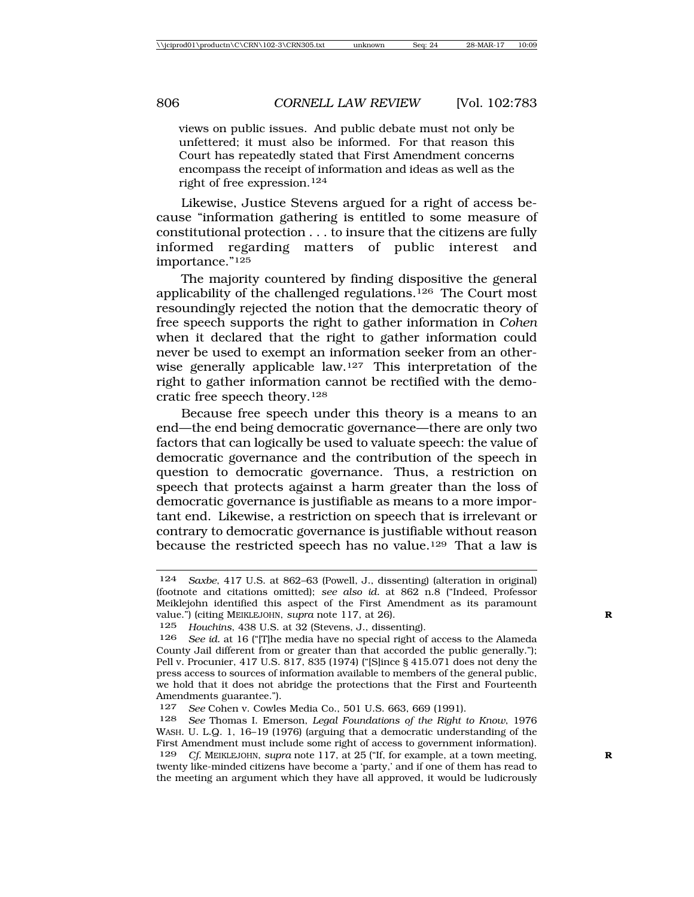views on public issues. And public debate must not only be unfettered; it must also be informed. For that reason this Court has repeatedly stated that First Amendment concerns encompass the receipt of information and ideas as well as the right of free expression.124

Likewise, Justice Stevens argued for a right of access because "information gathering is entitled to some measure of constitutional protection . . . to insure that the citizens are fully informed regarding matters of public interest and importance."125

The majority countered by finding dispositive the general applicability of the challenged regulations.126 The Court most resoundingly rejected the notion that the democratic theory of free speech supports the right to gather information in *Cohen* when it declared that the right to gather information could never be used to exempt an information seeker from an otherwise generally applicable law.127 This interpretation of the right to gather information cannot be rectified with the democratic free speech theory.128

Because free speech under this theory is a means to an end—the end being democratic governance—there are only two factors that can logically be used to valuate speech: the value of democratic governance and the contribution of the speech in question to democratic governance. Thus, a restriction on speech that protects against a harm greater than the loss of democratic governance is justifiable as means to a more important end. Likewise, a restriction on speech that is irrelevant or contrary to democratic governance is justifiable without reason because the restricted speech has no value.129 That a law is

<sup>124</sup> *Saxbe*, 417 U.S. at 862–63 (Powell, J., dissenting) (alteration in original) (footnote and citations omitted); *see also id.* at 862 n.8 ("Indeed, Professor Meiklejohn identified this aspect of the First Amendment as its paramount value.") (citing MEIKLEJOHN, *supra* note 117, at 26). **R**

<sup>125</sup> *Houchins*, 438 U.S. at 32 (Stevens, J., dissenting).

<sup>126</sup> *See id.* at 16 ("[T]he media have no special right of access to the Alameda County Jail different from or greater than that accorded the public generally."); Pell v. Procunier, 417 U.S. 817, 835 (1974) ("[S]ince § 415.071 does not deny the press access to sources of information available to members of the general public, we hold that it does not abridge the protections that the First and Fourteenth Amendments guarantee.").

<sup>127</sup> *See* Cohen v. Cowles Media Co., 501 U.S. 663, 669 (1991).

<sup>128</sup> *See* Thomas I. Emerson, *Legal Foundations of the Right to Know*, 1976 WASH. U. L.Q. 1, 16–19 (1976) (arguing that a democratic understanding of the First Amendment must include some right of access to government information). 129 *Cf.* MEIKLEJOHN, *supra* note 117, at 25 ("If, for example, at a town meeting, **R** twenty like-minded citizens have become a 'party,' and if one of them has read to the meeting an argument which they have all approved, it would be ludicrously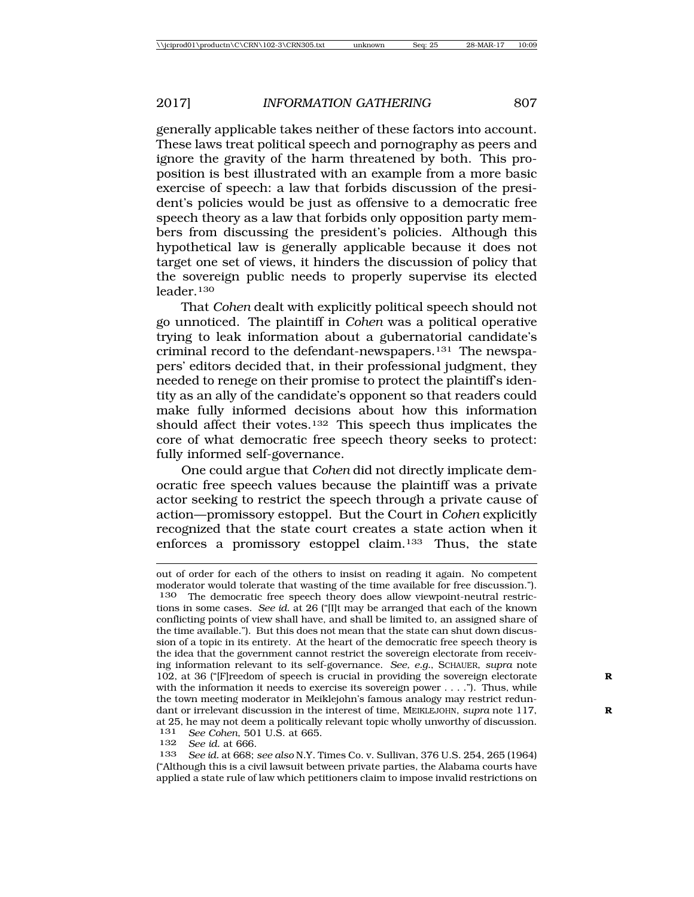generally applicable takes neither of these factors into account. These laws treat political speech and pornography as peers and ignore the gravity of the harm threatened by both. This proposition is best illustrated with an example from a more basic exercise of speech: a law that forbids discussion of the president's policies would be just as offensive to a democratic free speech theory as a law that forbids only opposition party members from discussing the president's policies. Although this hypothetical law is generally applicable because it does not target one set of views, it hinders the discussion of policy that the sovereign public needs to properly supervise its elected leader.130

That *Cohen* dealt with explicitly political speech should not go unnoticed. The plaintiff in *Cohen* was a political operative trying to leak information about a gubernatorial candidate's criminal record to the defendant-newspapers.131 The newspapers' editors decided that, in their professional judgment, they needed to renege on their promise to protect the plaintiff's identity as an ally of the candidate's opponent so that readers could make fully informed decisions about how this information should affect their votes.132 This speech thus implicates the core of what democratic free speech theory seeks to protect: fully informed self-governance.

One could argue that *Cohen* did not directly implicate democratic free speech values because the plaintiff was a private actor seeking to restrict the speech through a private cause of action—promissory estoppel. But the Court in *Cohen* explicitly recognized that the state court creates a state action when it enforces a promissory estoppel claim.133 Thus, the state

out of order for each of the others to insist on reading it again. No competent moderator would tolerate that wasting of the time available for free discussion."). 130 The democratic free speech theory does allow viewpoint-neutral restrictions in some cases. *See id.* at 26 ("[I]t may be arranged that each of the known conflicting points of view shall have, and shall be limited to, an assigned share of the time available."). But this does not mean that the state can shut down discussion of a topic in its entirety. At the heart of the democratic free speech theory is the idea that the government cannot restrict the sovereign electorate from receiving information relevant to its self-governance. *See, e.g.*, SCHAUER, *supra* note 102, at 36 ("[F]reedom of speech is crucial in providing the sovereign electorate **R** with the information it needs to exercise its sovereign power  $\dots$ ."). Thus, while the town meeting moderator in Meiklejohn's famous analogy may restrict redundant or irrelevant discussion in the interest of time, MEIKLEJOHN, *supra* note 117, **R** at 25, he may not deem a politically relevant topic wholly unworthy of discussion.

131 *See Cohen*, 501 U.S. at 665.

132 *See id.* at 666.

133 *See id.* at 668; *see also* N.Y. Times Co. v. Sullivan, 376 U.S. 254, 265 (1964) ("Although this is a civil lawsuit between private parties, the Alabama courts have applied a state rule of law which petitioners claim to impose invalid restrictions on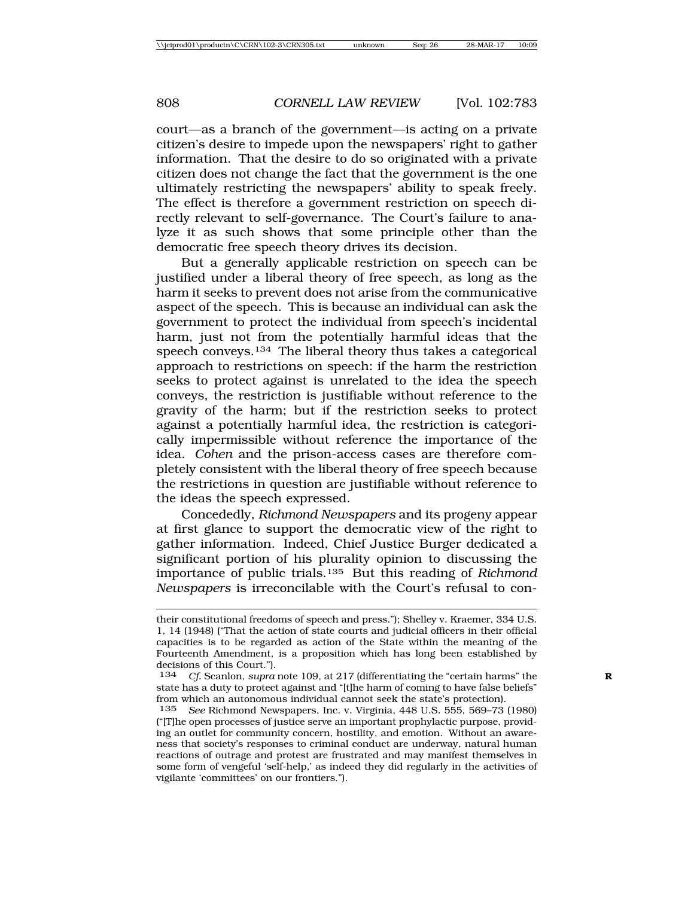court—as a branch of the government—is acting on a private citizen's desire to impede upon the newspapers' right to gather information. That the desire to do so originated with a private citizen does not change the fact that the government is the one ultimately restricting the newspapers' ability to speak freely. The effect is therefore a government restriction on speech directly relevant to self-governance. The Court's failure to analyze it as such shows that some principle other than the democratic free speech theory drives its decision.

But a generally applicable restriction on speech can be justified under a liberal theory of free speech, as long as the harm it seeks to prevent does not arise from the communicative aspect of the speech. This is because an individual can ask the government to protect the individual from speech's incidental harm, just not from the potentially harmful ideas that the speech conveys.134 The liberal theory thus takes a categorical approach to restrictions on speech: if the harm the restriction seeks to protect against is unrelated to the idea the speech conveys, the restriction is justifiable without reference to the gravity of the harm; but if the restriction seeks to protect against a potentially harmful idea, the restriction is categorically impermissible without reference the importance of the idea. *Cohen* and the prison-access cases are therefore completely consistent with the liberal theory of free speech because the restrictions in question are justifiable without reference to the ideas the speech expressed.

Concededly, *Richmond Newspapers* and its progeny appear at first glance to support the democratic view of the right to gather information. Indeed, Chief Justice Burger dedicated a significant portion of his plurality opinion to discussing the importance of public trials.135 But this reading of *Richmond Newspapers* is irreconcilable with the Court's refusal to con-

their constitutional freedoms of speech and press."); Shelley v. Kraemer, 334 U.S. 1, 14 (1948) ("That the action of state courts and judicial officers in their official capacities is to be regarded as action of the State within the meaning of the Fourteenth Amendment, is a proposition which has long been established by decisions of this Court.").<br>134 Cf Scanlon supra

*Cf.* Scanlon, *supra* note 109, at 217 (differentiating the "certain harms" the state has a duty to protect against and "[t]he harm of coming to have false beliefs" from which an autonomous individual cannot seek the state's protection).

<sup>135</sup> *See* Richmond Newspapers, Inc. v. Virginia, 448 U.S. 555, 569–73 (1980) ("[T]he open processes of justice serve an important prophylactic purpose, providing an outlet for community concern, hostility, and emotion. Without an awareness that society's responses to criminal conduct are underway, natural human reactions of outrage and protest are frustrated and may manifest themselves in some form of vengeful 'self-help,' as indeed they did regularly in the activities of vigilante 'committees' on our frontiers.").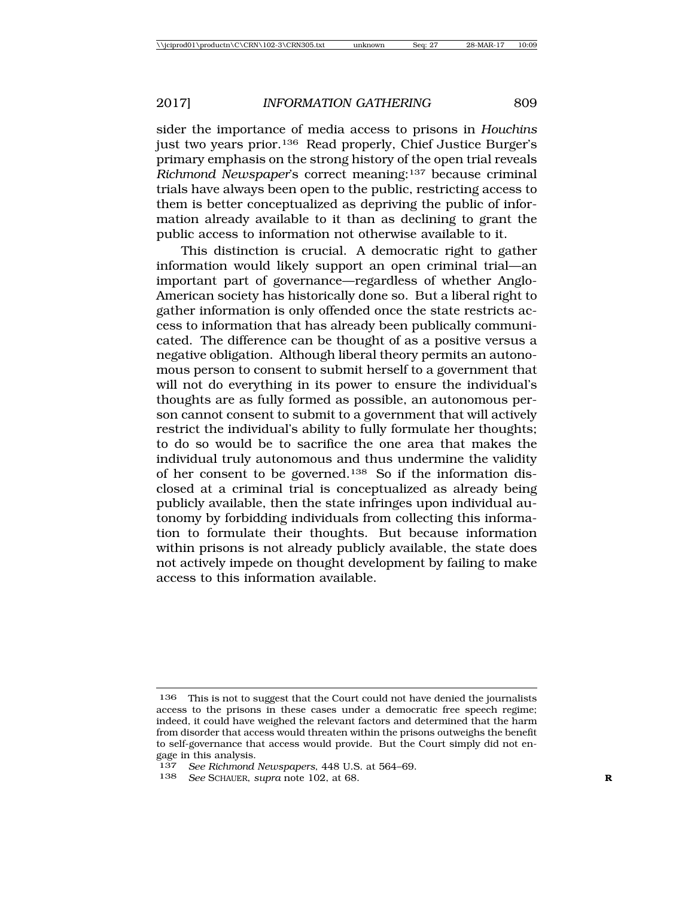sider the importance of media access to prisons in *Houchins* just two years prior.136 Read properly, Chief Justice Burger's primary emphasis on the strong history of the open trial reveals *Richmond Newspaper*'s correct meaning:137 because criminal trials have always been open to the public, restricting access to them is better conceptualized as depriving the public of information already available to it than as declining to grant the public access to information not otherwise available to it.

This distinction is crucial. A democratic right to gather information would likely support an open criminal trial—an important part of governance—regardless of whether Anglo-American society has historically done so. But a liberal right to gather information is only offended once the state restricts access to information that has already been publically communicated. The difference can be thought of as a positive versus a negative obligation. Although liberal theory permits an autonomous person to consent to submit herself to a government that will not do everything in its power to ensure the individual's thoughts are as fully formed as possible, an autonomous person cannot consent to submit to a government that will actively restrict the individual's ability to fully formulate her thoughts; to do so would be to sacrifice the one area that makes the individual truly autonomous and thus undermine the validity of her consent to be governed.138 So if the information disclosed at a criminal trial is conceptualized as already being publicly available, then the state infringes upon individual autonomy by forbidding individuals from collecting this information to formulate their thoughts. But because information within prisons is not already publicly available, the state does not actively impede on thought development by failing to make access to this information available.

<sup>136</sup> This is not to suggest that the Court could not have denied the journalists access to the prisons in these cases under a democratic free speech regime; indeed, it could have weighed the relevant factors and determined that the harm from disorder that access would threaten within the prisons outweighs the benefit to self-governance that access would provide. But the Court simply did not engage in this analysis.

<sup>137</sup> *See Richmond Newspapers*, 448 U.S. at 564–69.

<sup>138</sup> See SCHAUER, *supra* note 102, at 68.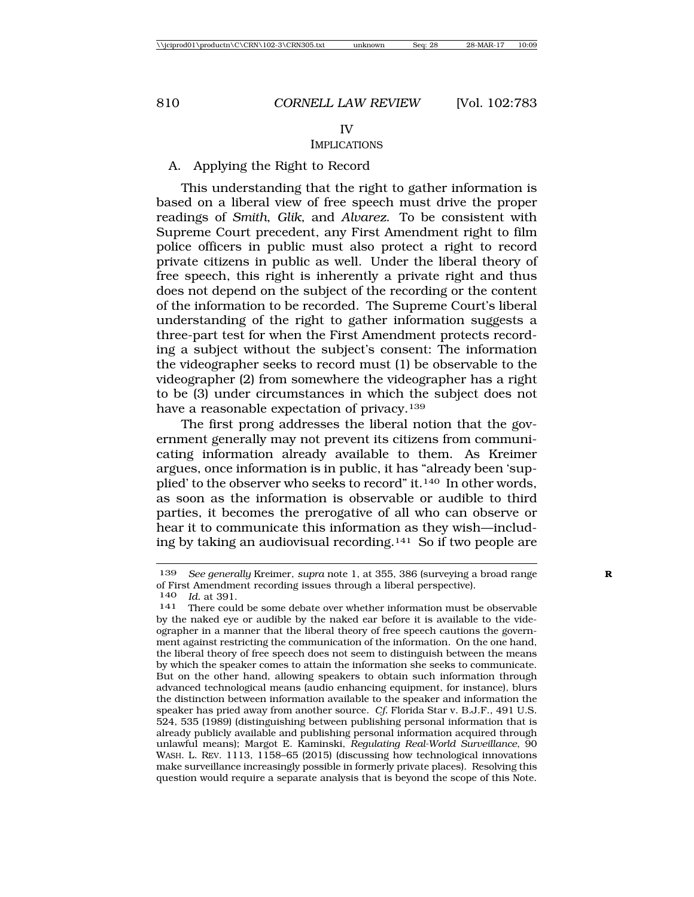#### IMPLICATIONS

#### A. Applying the Right to Record

This understanding that the right to gather information is based on a liberal view of free speech must drive the proper readings of *Smith*, *Glik*, and *Alvarez*. To be consistent with Supreme Court precedent, any First Amendment right to film police officers in public must also protect a right to record private citizens in public as well. Under the liberal theory of free speech, this right is inherently a private right and thus does not depend on the subject of the recording or the content of the information to be recorded. The Supreme Court's liberal understanding of the right to gather information suggests a three-part test for when the First Amendment protects recording a subject without the subject's consent: The information the videographer seeks to record must (1) be observable to the videographer (2) from somewhere the videographer has a right to be (3) under circumstances in which the subject does not have a reasonable expectation of privacy.<sup>139</sup>

The first prong addresses the liberal notion that the government generally may not prevent its citizens from communicating information already available to them. As Kreimer argues, once information is in public, it has "already been 'supplied' to the observer who seeks to record" it.140 In other words, as soon as the information is observable or audible to third parties, it becomes the prerogative of all who can observe or hear it to communicate this information as they wish—including by taking an audiovisual recording.141 So if two people are

<sup>139</sup> *See generally* Kreimer, *supra* note 1, at 355, 386 (surveying a broad range **R** of First Amendment recording issues through a liberal perspective).<br> $140$  *Id at* 391

<sup>&</sup>lt;sup>140</sup> *Id.* at 391.<br><sup>141</sup> There could be some debate over whether information must be observable by the naked eye or audible by the naked ear before it is available to the videographer in a manner that the liberal theory of free speech cautions the government against restricting the communication of the information. On the one hand, the liberal theory of free speech does not seem to distinguish between the means by which the speaker comes to attain the information she seeks to communicate. But on the other hand, allowing speakers to obtain such information through advanced technological means (audio enhancing equipment, for instance), blurs the distinction between information available to the speaker and information the speaker has pried away from another source. *Cf.* Florida Star v. B.J.F., 491 U.S. 524, 535 (1989) (distinguishing between publishing personal information that is already publicly available and publishing personal information acquired through unlawful means); Margot E. Kaminski, *Regulating Real-World Surveillance*, 90 WASH. L. REV. 1113, 1158–65 (2015) (discussing how technological innovations make surveillance increasingly possible in formerly private places). Resolving this question would require a separate analysis that is beyond the scope of this Note.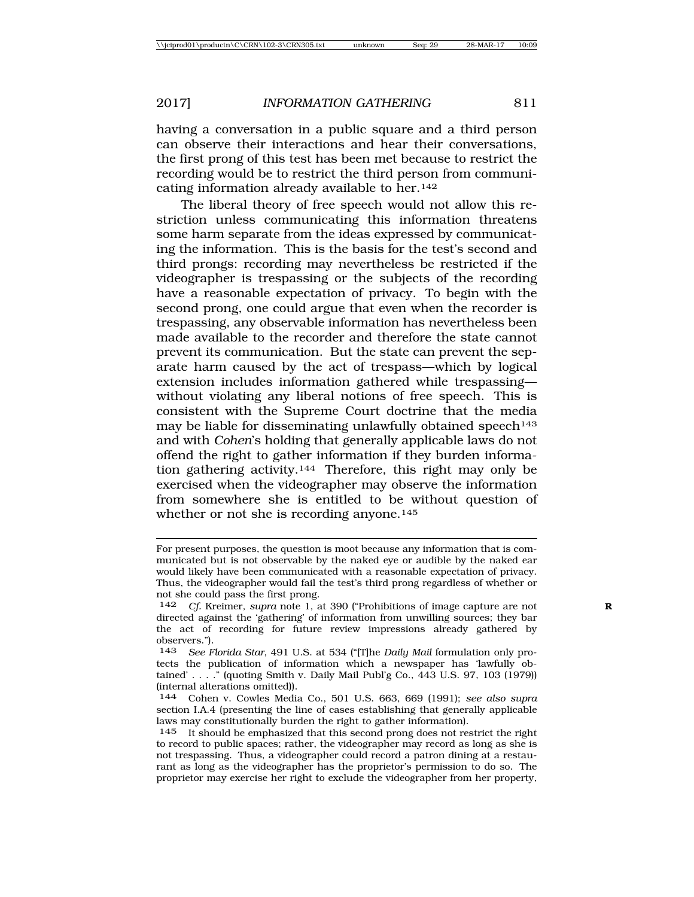having a conversation in a public square and a third person can observe their interactions and hear their conversations, the first prong of this test has been met because to restrict the recording would be to restrict the third person from communicating information already available to her.142

The liberal theory of free speech would not allow this restriction unless communicating this information threatens some harm separate from the ideas expressed by communicating the information. This is the basis for the test's second and third prongs: recording may nevertheless be restricted if the videographer is trespassing or the subjects of the recording have a reasonable expectation of privacy. To begin with the second prong, one could argue that even when the recorder is trespassing, any observable information has nevertheless been made available to the recorder and therefore the state cannot prevent its communication. But the state can prevent the separate harm caused by the act of trespass—which by logical extension includes information gathered while trespassing without violating any liberal notions of free speech. This is consistent with the Supreme Court doctrine that the media may be liable for disseminating unlawfully obtained speech<sup>143</sup> and with *Cohen*'s holding that generally applicable laws do not offend the right to gather information if they burden information gathering activity.144 Therefore, this right may only be exercised when the videographer may observe the information from somewhere she is entitled to be without question of whether or not she is recording anyone.<sup>145</sup>

For present purposes, the question is moot because any information that is communicated but is not observable by the naked eye or audible by the naked ear would likely have been communicated with a reasonable expectation of privacy. Thus, the videographer would fail the test's third prong regardless of whether or not she could pass the first prong.

<sup>142</sup> *Cf.* Kreimer, *supra* note 1, at 390 ("Prohibitions of image capture are not **R** directed against the 'gathering' of information from unwilling sources; they bar the act of recording for future review impressions already gathered by observers.").

<sup>143</sup> *See Florida Star*, 491 U.S. at 534 ("[T]he *Daily Mail* formulation only protects the publication of information which a newspaper has 'lawfully obtained' . . . . " (quoting Smith v. Daily Mail Publ'g Co., 443 U.S. 97, 103 (1979)) (internal alterations omitted)).

<sup>144</sup> Cohen v. Cowles Media Co., 501 U.S. 663, 669 (1991); *see also supra* section I.A.4 (presenting the line of cases establishing that generally applicable laws may constitutionally burden the right to gather information).

<sup>145</sup> It should be emphasized that this second prong does not restrict the right to record to public spaces; rather, the videographer may record as long as she is not trespassing. Thus, a videographer could record a patron dining at a restaurant as long as the videographer has the proprietor's permission to do so. The proprietor may exercise her right to exclude the videographer from her property,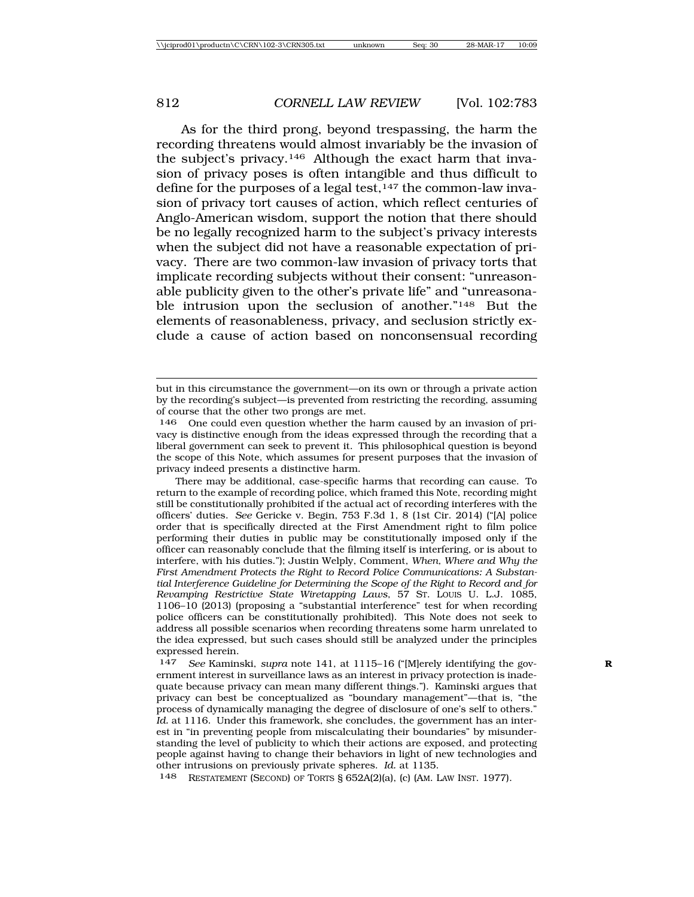As for the third prong, beyond trespassing, the harm the recording threatens would almost invariably be the invasion of the subject's privacy.146 Although the exact harm that invasion of privacy poses is often intangible and thus difficult to define for the purposes of a legal test,<sup>147</sup> the common-law invasion of privacy tort causes of action, which reflect centuries of Anglo-American wisdom, support the notion that there should be no legally recognized harm to the subject's privacy interests when the subject did not have a reasonable expectation of privacy. There are two common-law invasion of privacy torts that implicate recording subjects without their consent: "unreasonable publicity given to the other's private life" and "unreasonable intrusion upon the seclusion of another."<sup>148</sup> But the elements of reasonableness, privacy, and seclusion strictly exclude a cause of action based on nonconsensual recording

148 RESTATEMENT (SECOND) OF TORTS § 652A(2)(a), (c) (AM. LAW INST. 1977).

but in this circumstance the government—on its own or through a private action by the recording's subject—is prevented from restricting the recording, assuming of course that the other two prongs are met.

<sup>146</sup> One could even question whether the harm caused by an invasion of privacy is distinctive enough from the ideas expressed through the recording that a liberal government can seek to prevent it. This philosophical question is beyond the scope of this Note, which assumes for present purposes that the invasion of privacy indeed presents a distinctive harm.

There may be additional, case-specific harms that recording can cause. To return to the example of recording police, which framed this Note, recording might still be constitutionally prohibited if the actual act of recording interferes with the officers' duties. *See* Gericke v. Begin, 753 F.3d 1, 8 (1st Cir. 2014) ("[A] police order that is specifically directed at the First Amendment right to film police performing their duties in public may be constitutionally imposed only if the officer can reasonably conclude that the filming itself is interfering, or is about to interfere, with his duties."); Justin Welply, Comment, *When, Where and Why the First Amendment Protects the Right to Record Police Communications: A Substantial Interference Guideline for Determining the Scope of the Right to Record and for Revamping Restrictive State Wiretapping Laws*, 57 ST. LOUIS U. L.J. 1085, 1106–10 (2013) (proposing a "substantial interference" test for when recording police officers can be constitutionally prohibited). This Note does not seek to address all possible scenarios when recording threatens some harm unrelated to the idea expressed, but such cases should still be analyzed under the principles expressed herein.

<sup>147</sup> *See* Kaminski, *supra* note 141, at 1115–16 ("[M]erely identifying the gov- **R** ernment interest in surveillance laws as an interest in privacy protection is inadequate because privacy can mean many different things."). Kaminski argues that privacy can best be conceptualized as "boundary management"—that is, "the process of dynamically managing the degree of disclosure of one's self to others." Id. at 1116. Under this framework, she concludes, the government has an interest in "in preventing people from miscalculating their boundaries" by misunderstanding the level of publicity to which their actions are exposed, and protecting people against having to change their behaviors in light of new technologies and other intrusions on previously private spheres. *Id.* at 1135.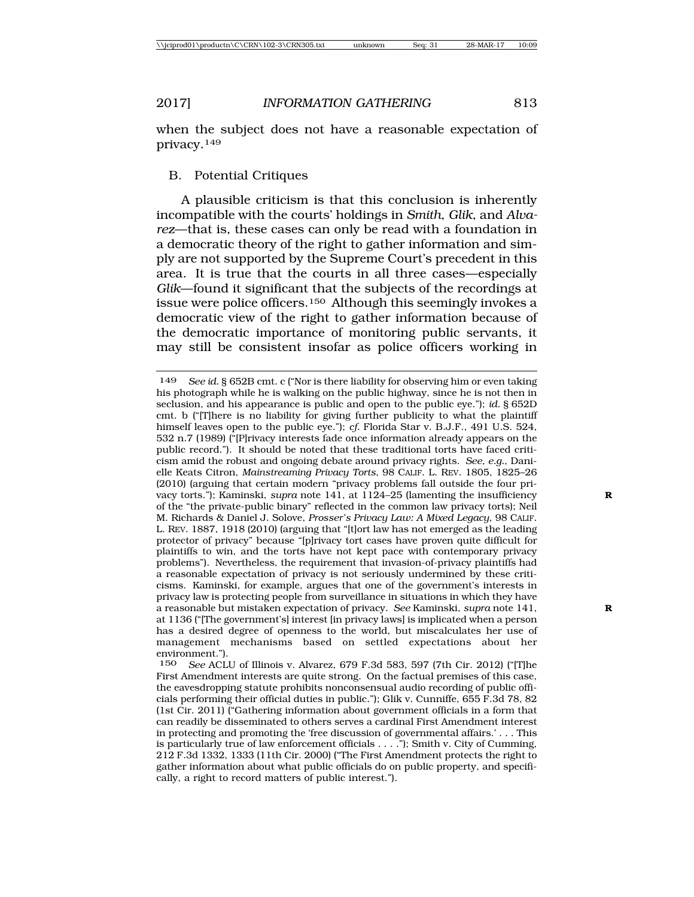when the subject does not have a reasonable expectation of privacy.149

# B. Potential Critiques

A plausible criticism is that this conclusion is inherently incompatible with the courts' holdings in *Smith*, *Glik*, and *Alvarez*—that is, these cases can only be read with a foundation in a democratic theory of the right to gather information and simply are not supported by the Supreme Court's precedent in this area. It is true that the courts in all three cases—especially *Glik*—found it significant that the subjects of the recordings at issue were police officers.150 Although this seemingly invokes a democratic view of the right to gather information because of the democratic importance of monitoring public servants, it may still be consistent insofar as police officers working in

<sup>149</sup> *See id.* § 652B cmt. c ("Nor is there liability for observing him or even taking his photograph while he is walking on the public highway, since he is not then in seclusion, and his appearance is public and open to the public eye."); *id.* § 652D cmt. b ("[T]here is no liability for giving further publicity to what the plaintiff himself leaves open to the public eye."); *cf.* Florida Star v. B.J.F., 491 U.S. 524, 532 n.7 (1989) ("[P]rivacy interests fade once information already appears on the public record."). It should be noted that these traditional torts have faced criticism amid the robust and ongoing debate around privacy rights. *See, e.g.*, Danielle Keats Citron, *Mainstreaming Privacy Torts*, 98 CALIF. L. REV. 1805, 1825–26 (2010) (arguing that certain modern "privacy problems fall outside the four privacy torts."); Kaminski, *supra* note 141, at 1124–25 (lamenting the insufficiency **R** of the "the private-public binary" reflected in the common law privacy torts); Neil M. Richards & Daniel J. Solove, *Prosser's Privacy Law: A Mixed Legacy*, 98 CALIF. L. REV. 1887, 1918 (2010) (arguing that "[t]ort law has not emerged as the leading protector of privacy" because "[p]rivacy tort cases have proven quite difficult for plaintiffs to win, and the torts have not kept pace with contemporary privacy problems"). Nevertheless, the requirement that invasion-of-privacy plaintiffs had a reasonable expectation of privacy is not seriously undermined by these criticisms. Kaminski, for example, argues that one of the government's interests in privacy law is protecting people from surveillance in situations in which they have a reasonable but mistaken expectation of privacy. *See* Kaminski, *supra* note 141, **R** at 1136 ("[The government's] interest [in privacy laws] is implicated when a person has a desired degree of openness to the world, but miscalculates her use of management mechanisms based on settled expectations about her environment.").

<sup>150</sup> *See* ACLU of Illinois v. Alvarez, 679 F.3d 583, 597 (7th Cir. 2012) ("[T]he First Amendment interests are quite strong. On the factual premises of this case, the eavesdropping statute prohibits nonconsensual audio recording of public officials performing their official duties in public."); Glik v. Cunniffe, 655 F.3d 78, 82 (1st Cir. 2011) ("Gathering information about government officials in a form that can readily be disseminated to others serves a cardinal First Amendment interest in protecting and promoting the 'free discussion of governmental affairs.' . . . This is particularly true of law enforcement officials . . . ."); Smith v. City of Cumming, 212 F.3d 1332, 1333 (11th Cir. 2000) ("The First Amendment protects the right to gather information about what public officials do on public property, and specifically, a right to record matters of public interest.").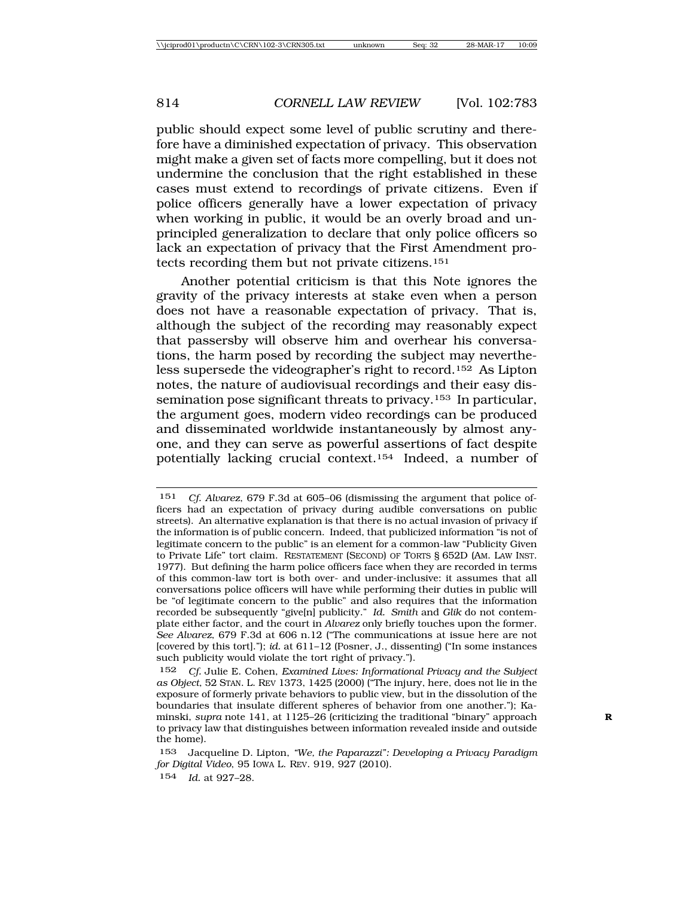public should expect some level of public scrutiny and therefore have a diminished expectation of privacy. This observation might make a given set of facts more compelling, but it does not undermine the conclusion that the right established in these cases must extend to recordings of private citizens. Even if police officers generally have a lower expectation of privacy when working in public, it would be an overly broad and unprincipled generalization to declare that only police officers so lack an expectation of privacy that the First Amendment protects recording them but not private citizens.151

Another potential criticism is that this Note ignores the gravity of the privacy interests at stake even when a person does not have a reasonable expectation of privacy. That is, although the subject of the recording may reasonably expect that passersby will observe him and overhear his conversations, the harm posed by recording the subject may nevertheless supersede the videographer's right to record.152 As Lipton notes, the nature of audiovisual recordings and their easy dissemination pose significant threats to privacy.153 In particular, the argument goes, modern video recordings can be produced and disseminated worldwide instantaneously by almost anyone, and they can serve as powerful assertions of fact despite potentially lacking crucial context.154 Indeed, a number of

<sup>151</sup> *Cf. Alvarez*, 679 F.3d at 605–06 (dismissing the argument that police officers had an expectation of privacy during audible conversations on public streets). An alternative explanation is that there is no actual invasion of privacy if the information is of public concern. Indeed, that publicized information "is not of legitimate concern to the public" is an element for a common-law "Publicity Given to Private Life" tort claim. RESTATEMENT (SECOND) OF TORTS § 652D (AM. LAW INST. 1977). But defining the harm police officers face when they are recorded in terms of this common-law tort is both over- and under-inclusive: it assumes that all conversations police officers will have while performing their duties in public will be "of legitimate concern to the public" and also requires that the information recorded be subsequently "give[n] publicity." *Id. Smith* and *Glik* do not contemplate either factor, and the court in *Alvarez* only briefly touches upon the former. *See Alvarez*, 679 F.3d at 606 n.12 ("The communications at issue here are not [covered by this tort]."); *id.* at 611–12 (Posner, J., dissenting) ("In some instances such publicity would violate the tort right of privacy.").

<sup>152</sup> *Cf.* Julie E. Cohen, *Examined Lives: Informational Privacy and the Subject as Object*, 52 STAN. L. REV 1373, 1425 (2000) ("The injury, here, does not lie in the exposure of formerly private behaviors to public view, but in the dissolution of the boundaries that insulate different spheres of behavior from one another."); Kaminski, *supra* note 141, at 1125–26 (criticizing the traditional "binary" approach **R** to privacy law that distinguishes between information revealed inside and outside the home).

<sup>153</sup> Jacqueline D. Lipton, *"We, the Paparazzi": Developing a Privacy Paradigm for Digital Video*, 95 IOWA L. REV. 919, 927 (2010).

<sup>154</sup> *Id.* at 927–28.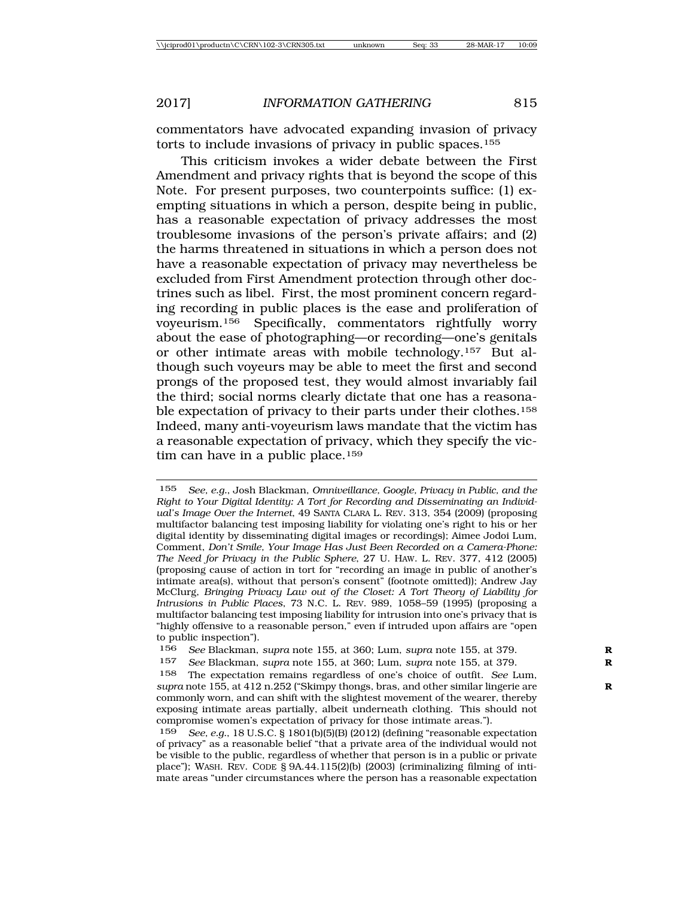commentators have advocated expanding invasion of privacy torts to include invasions of privacy in public spaces.155

This criticism invokes a wider debate between the First Amendment and privacy rights that is beyond the scope of this Note. For present purposes, two counterpoints suffice: (1) exempting situations in which a person, despite being in public, has a reasonable expectation of privacy addresses the most troublesome invasions of the person's private affairs; and (2) the harms threatened in situations in which a person does not have a reasonable expectation of privacy may nevertheless be excluded from First Amendment protection through other doctrines such as libel. First, the most prominent concern regarding recording in public places is the ease and proliferation of voyeurism.156 Specifically, commentators rightfully worry about the ease of photographing—or recording—one's genitals or other intimate areas with mobile technology.157 But although such voyeurs may be able to meet the first and second prongs of the proposed test, they would almost invariably fail the third; social norms clearly dictate that one has a reasonable expectation of privacy to their parts under their clothes.158 Indeed, many anti-voyeurism laws mandate that the victim has a reasonable expectation of privacy, which they specify the victim can have in a public place.<sup>159</sup>

<sup>155</sup> *See, e.g.*, Josh Blackman, *Omniveillance, Google, Privacy in Public, and the Right to Your Digital Identity: A Tort for Recording and Disseminating an Individual's Image Over the Internet*, 49 SANTA CLARA L. REV. 313, 354 (2009) (proposing multifactor balancing test imposing liability for violating one's right to his or her digital identity by disseminating digital images or recordings); Aimee Jodoi Lum, Comment, *Don't Smile, Your Image Has Just Been Recorded on a Camera-Phone: The Need for Privacy in the Public Sphere*, 27 U. HAW. L. REV. 377, 412 (2005) (proposing cause of action in tort for "recording an image in public of another's intimate area(s), without that person's consent" (footnote omitted)); Andrew Jay McClurg, *Bringing Privacy Law out of the Closet: A Tort Theory of Liability for Intrusions in Public Places*, 73 N.C. L. REV. 989, 1058–59 (1995) (proposing a multifactor balancing test imposing liability for intrusion into one's privacy that is "highly offensive to a reasonable person," even if intruded upon affairs are "open to public inspection").

<sup>156</sup> *See* Blackman, *supra* note 155, at 360; Lum, *supra* note 155, at 379. **R**

<sup>157</sup> *See* Blackman, *supra* note 155, at 360; Lum, *supra* note 155, at 379. **R**

<sup>158</sup> The expectation remains regardless of one's choice of outfit. *See* Lum, *supra* note 155, at 412 n.252 ("Skimpy thongs, bras, and other similar lingerie are **R** commonly worn, and can shift with the slightest movement of the wearer, thereby exposing intimate areas partially, albeit underneath clothing. This should not compromise women's expectation of privacy for those intimate areas.").

<sup>159</sup> *See, e.g.*, 18 U.S.C. § 1801(b)(5)(B) (2012) (defining "reasonable expectation of privacy" as a reasonable belief "that a private area of the individual would not be visible to the public, regardless of whether that person is in a public or private place"); WASH. REV. CODE § 9A.44.115(2)(b) (2003) (criminalizing filming of intimate areas "under circumstances where the person has a reasonable expectation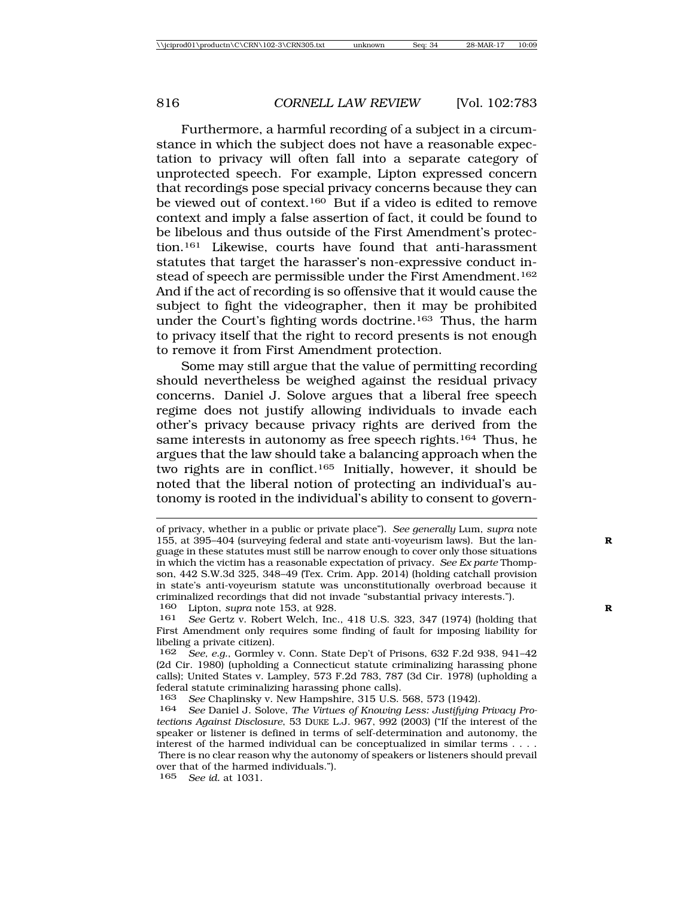Furthermore, a harmful recording of a subject in a circumstance in which the subject does not have a reasonable expectation to privacy will often fall into a separate category of unprotected speech. For example, Lipton expressed concern that recordings pose special privacy concerns because they can be viewed out of context.160 But if a video is edited to remove context and imply a false assertion of fact, it could be found to be libelous and thus outside of the First Amendment's protection.161 Likewise, courts have found that anti-harassment statutes that target the harasser's non-expressive conduct instead of speech are permissible under the First Amendment.<sup>162</sup> And if the act of recording is so offensive that it would cause the subject to fight the videographer, then it may be prohibited under the Court's fighting words doctrine.163 Thus, the harm to privacy itself that the right to record presents is not enough to remove it from First Amendment protection.

Some may still argue that the value of permitting recording should nevertheless be weighed against the residual privacy concerns. Daniel J. Solove argues that a liberal free speech regime does not justify allowing individuals to invade each other's privacy because privacy rights are derived from the same interests in autonomy as free speech rights.<sup>164</sup> Thus, he argues that the law should take a balancing approach when the two rights are in conflict.165 Initially, however, it should be noted that the liberal notion of protecting an individual's autonomy is rooted in the individual's ability to consent to govern-

of privacy, whether in a public or private place"). *See generally* Lum, *supra* note 155, at 395–404 (surveying federal and state anti-voyeurism laws). But the lan- **R** guage in these statutes must still be narrow enough to cover only those situations in which the victim has a reasonable expectation of privacy. *See Ex parte* Thompson, 442 S.W.3d 325, 348–49 (Tex. Crim. App. 2014) (holding catchall provision in state's anti-voyeurism statute was unconstitutionally overbroad because it criminalized recordings that did not invade "substantial privacy interests.").<br>160 Lipton, supra note 153, at 928.

Lipton, *supra* note 153, at 928.

<sup>161</sup> *See* Gertz v. Robert Welch, Inc., 418 U.S. 323, 347 (1974) (holding that First Amendment only requires some finding of fault for imposing liability for libeling a private citizen).

<sup>162</sup> *See, e.g.*, Gormley v. Conn. State Dep't of Prisons, 632 F.2d 938, 941–42 (2d Cir. 1980) (upholding a Connecticut statute criminalizing harassing phone calls); United States v. Lampley, 573 F.2d 783, 787 (3d Cir. 1978) (upholding a federal statute criminalizing harassing phone calls).<br>163 See Chaplinsky v New Hampshire 315 U.S.

<sup>163</sup> *See* Chaplinsky v. New Hampshire, 315 U.S. 568, 573 (1942).

See Daniel J. Solove, *The Virtues of Knowing Less: Justifying Privacy Protections Against Disclosure*, 53 DUKE L.J. 967, 992 (2003) ("If the interest of the speaker or listener is defined in terms of self-determination and autonomy, the interest of the harmed individual can be conceptualized in similar terms . . . . There is no clear reason why the autonomy of speakers or listeners should prevail over that of the harmed individuals."). 165 *See id.* at 1031.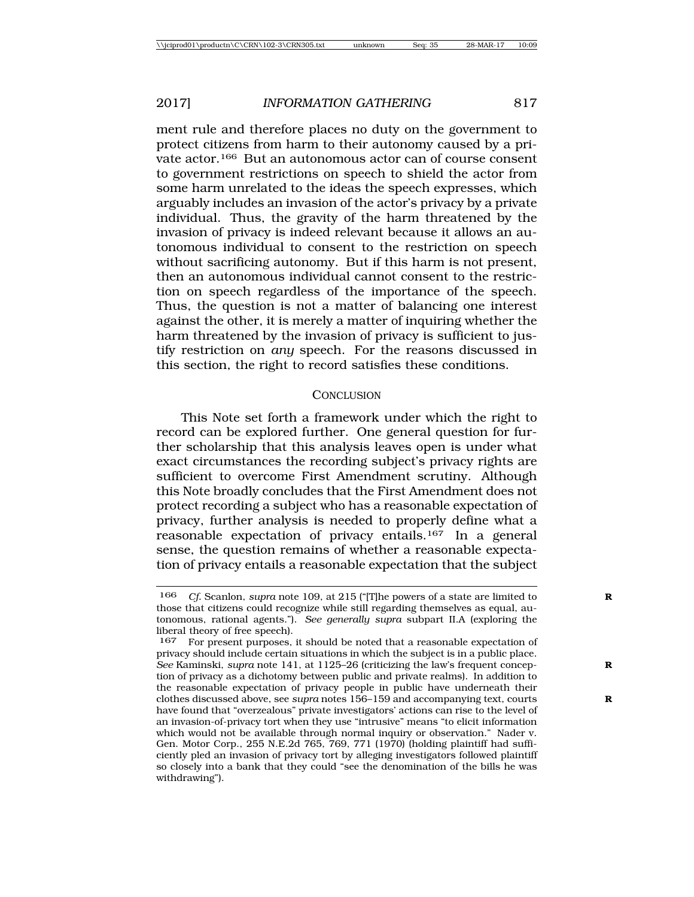ment rule and therefore places no duty on the government to protect citizens from harm to their autonomy caused by a private actor.166 But an autonomous actor can of course consent to government restrictions on speech to shield the actor from some harm unrelated to the ideas the speech expresses, which arguably includes an invasion of the actor's privacy by a private individual. Thus, the gravity of the harm threatened by the invasion of privacy is indeed relevant because it allows an autonomous individual to consent to the restriction on speech without sacrificing autonomy. But if this harm is not present, then an autonomous individual cannot consent to the restriction on speech regardless of the importance of the speech. Thus, the question is not a matter of balancing one interest against the other, it is merely a matter of inquiring whether the harm threatened by the invasion of privacy is sufficient to justify restriction on *any* speech. For the reasons discussed in this section, the right to record satisfies these conditions.

#### **CONCLUSION**

This Note set forth a framework under which the right to record can be explored further. One general question for further scholarship that this analysis leaves open is under what exact circumstances the recording subject's privacy rights are sufficient to overcome First Amendment scrutiny. Although this Note broadly concludes that the First Amendment does not protect recording a subject who has a reasonable expectation of privacy, further analysis is needed to properly define what a reasonable expectation of privacy entails.167 In a general sense, the question remains of whether a reasonable expectation of privacy entails a reasonable expectation that the subject

<sup>166</sup> *Cf.* Scanlon, *supra* note 109, at 215 ("[T]he powers of a state are limited to **R** those that citizens could recognize while still regarding themselves as equal, autonomous, rational agents."). *See generally supra* subpart II.A (exploring the liberal theory of free speech).

<sup>167</sup> For present purposes, it should be noted that a reasonable expectation of privacy should include certain situations in which the subject is in a public place. *See* Kaminski, *supra* note 141, at 1125–26 (criticizing the law's frequent concep- **R** tion of privacy as a dichotomy between public and private realms). In addition to the reasonable expectation of privacy people in public have underneath their clothes discussed above, see *supra* notes 156–159 and accompanying text, courts **R** have found that "overzealous" private investigators' actions can rise to the level of an invasion-of-privacy tort when they use "intrusive" means "to elicit information which would not be available through normal inquiry or observation." Nader v. Gen. Motor Corp., 255 N.E.2d 765, 769, 771 (1970) (holding plaintiff had sufficiently pled an invasion of privacy tort by alleging investigators followed plaintiff so closely into a bank that they could "see the denomination of the bills he was withdrawing").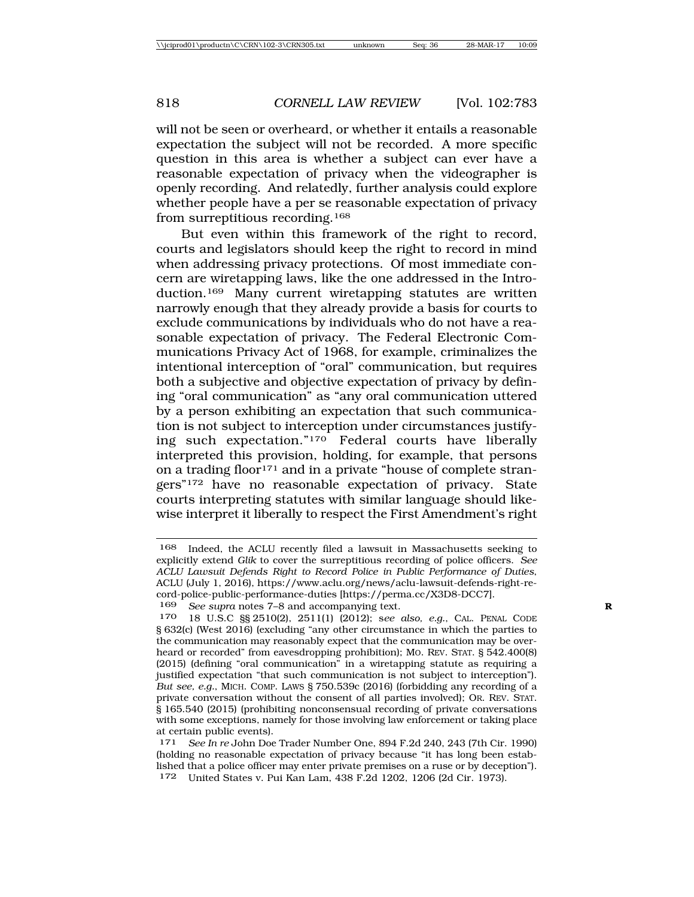will not be seen or overheard, or whether it entails a reasonable expectation the subject will not be recorded. A more specific question in this area is whether a subject can ever have a reasonable expectation of privacy when the videographer is openly recording. And relatedly, further analysis could explore whether people have a per se reasonable expectation of privacy from surreptitious recording.168

But even within this framework of the right to record, courts and legislators should keep the right to record in mind when addressing privacy protections. Of most immediate concern are wiretapping laws, like the one addressed in the Introduction.169 Many current wiretapping statutes are written narrowly enough that they already provide a basis for courts to exclude communications by individuals who do not have a reasonable expectation of privacy. The Federal Electronic Communications Privacy Act of 1968, for example, criminalizes the intentional interception of "oral" communication, but requires both a subjective and objective expectation of privacy by defining "oral communication" as "any oral communication uttered by a person exhibiting an expectation that such communication is not subject to interception under circumstances justifying such expectation."170 Federal courts have liberally interpreted this provision, holding, for example, that persons on a trading floor<sup>171</sup> and in a private "house of complete strangers"172 have no reasonable expectation of privacy. State courts interpreting statutes with similar language should likewise interpret it liberally to respect the First Amendment's right

<sup>168</sup> Indeed, the ACLU recently filed a lawsuit in Massachusetts seeking to explicitly extend *Glik* to cover the surreptitious recording of police officers. *See ACLU Lawsuit Defends Right to Record Police in Public Performance of Duties*, ACLU (July 1, 2016), https://www.aclu.org/news/aclu-lawsuit-defends-right-record-police-public-performance-duties [https://perma.cc/X3D8-DCC7].<br>169 See sunta notes 7–8 and accompanying text

See supra notes 7–8 and accompanying text.

<sup>170</sup> 18 U.S.C §§ 2510(2), 2511(1) (2012); s*ee also, e.g.*, CAL. PENAL CODE § 632(c) (West 2016) (excluding "any other circumstance in which the parties to the communication may reasonably expect that the communication may be overheard or recorded" from eavesdropping prohibition); Mo. REV. STAT. § 542.400(8) (2015) (defining "oral communication" in a wiretapping statute as requiring a justified expectation "that such communication is not subject to interception"). *But see, e.g.*, MICH. COMP. LAWS § 750.539c (2016) (forbidding any recording of a private conversation without the consent of all parties involved); OR. REV. STAT. § 165.540 (2015) (prohibiting nonconsensual recording of private conversations with some exceptions, namely for those involving law enforcement or taking place at certain public events).

<sup>171</sup> *See In re* John Doe Trader Number One, 894 F.2d 240, 243 (7th Cir. 1990) (holding no reasonable expectation of privacy because "it has long been established that a police officer may enter private premises on a ruse or by deception"). 172 United States v. Pui Kan Lam, 438 F.2d 1202, 1206 (2d Cir. 1973).